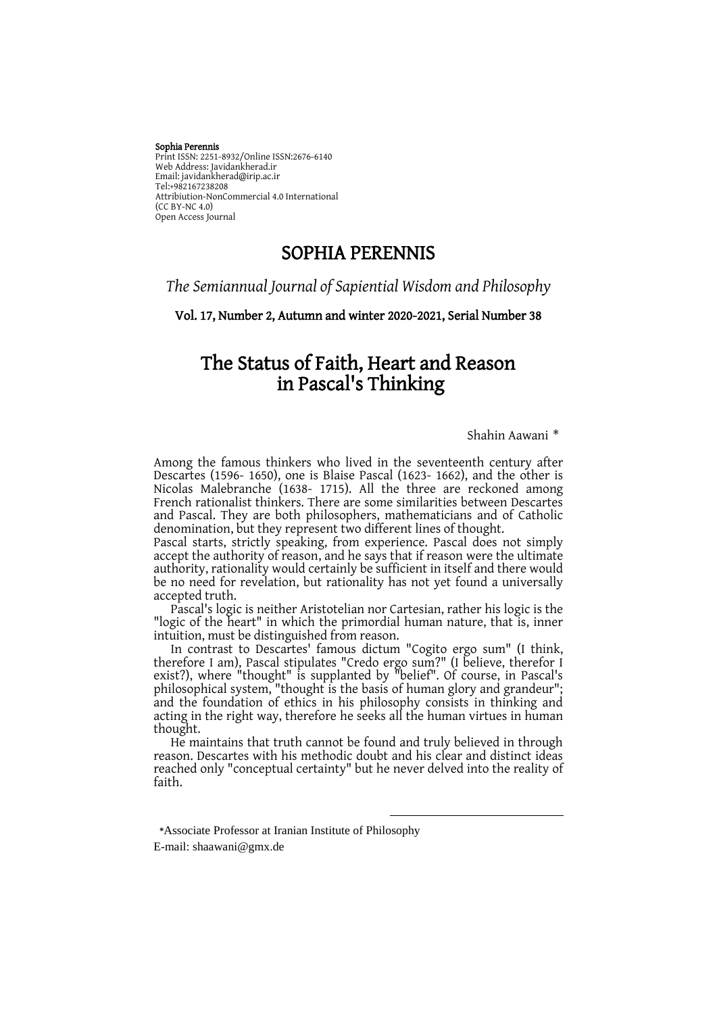#### Sophia Perennis

Print ISSN: 2251-8932/Online ISSN:2676-6140 Web Address: Javidankherad.ir Email[: javidankherad@irip.ac.ir](mailto:javidankherad@irip.ac.ir) [Tel:+982167238208](tel:+982167238208) Attribiution-NonCommercial 4.0 International (CC BY-NC 4.0) Open Access Journal

# SOPHIA PERENNIS

## *The Semiannual Journal of Sapiential Wisdom and Philosophy*

Vol. 17, Number 2, Autumn and winter 2020-2021, Serial Number 38

# The Status of Faith, Heart and Reason in Pascal's Thinking

Shahin Aawani \*

Among the famous thinkers who lived in the seventeenth century after Descartes (1596- 1650), one is Blaise Pascal (1623- 1662), and the other is Nicolas Malebranche (1638- 1715). All the three are reckoned among French rationalist thinkers. There are some similarities between Descartes and Pascal. They are both philosophers, mathematicians and of Catholic denomination, but they represent two different lines of thought.

Pascal starts, strictly speaking, from experience. Pascal does not simply accept the authority of reason, and he says that if reason were the ultimate authority, rationality would certainly be sufficient in itself and there would be no need for revelation, but rationality has not yet found a universally accepted truth.

Pascal's logic is neither Aristotelian nor Cartesian, rather his logic is the "logic of the heart" in which the primordial human nature, that is, inner intuition, must be distinguished from reason.

In contrast to Descartes' famous dictum "Cogito ergo sum" (I think, therefore I am), Pascal stipulates "Credo ergo sum?" (I believe, therefor I exist?), where "thought" is supplanted by "belief". Of course, in Pascal's philosophical system, "thought is the basis of human glory and grandeur"; and the foundation of ethics in his philosophy consists in thinking and acting in the right way, therefore he seeks all the human virtues in human thought.

He maintains that truth cannot be found and truly believed in through reason. Descartes with his methodic doubt and his clear and distinct ideas reached only "conceptual certainty" but he never delved into the reality of faith.

 $\overline{\phantom{a}}$ 

**\***Associate Professor at Iranian Institute of Philosophy

E-mail: shaawani@gmx.de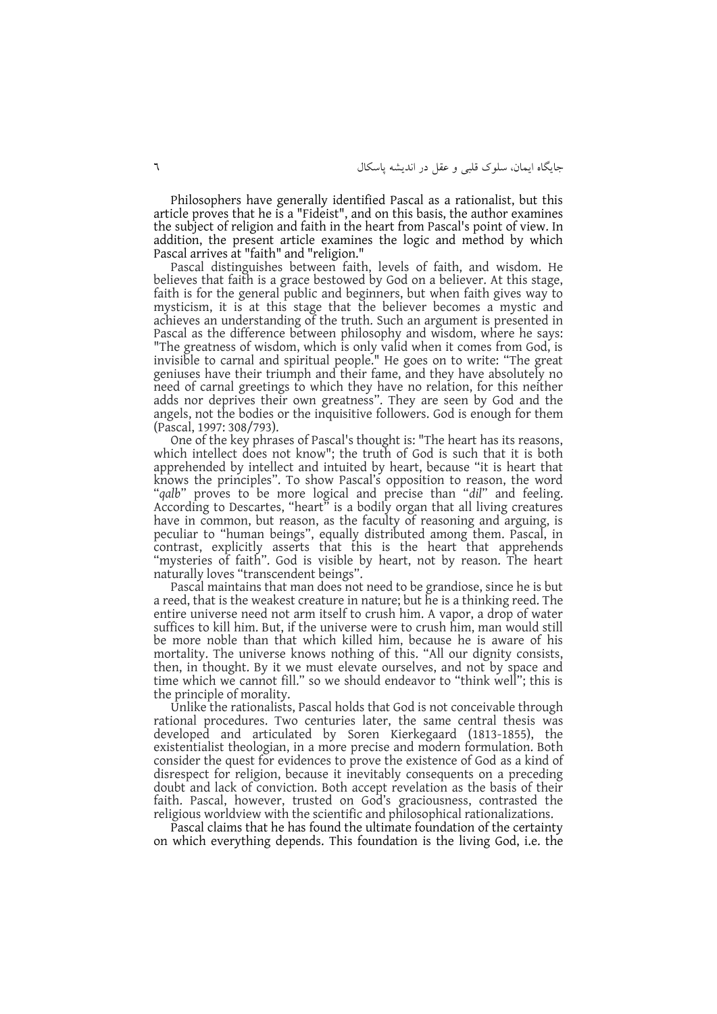Philosophers have generally identified Pascal as a rationalist, but this article proves that he is a "Fideist", and on this basis, the author examines the subject of religion and faith in the heart from Pascal's point of view. In addition, the present article examines the logic and method by which Pascal arrives at "faith" and "religion."

Pascal distinguishes between faith, levels of faith, and wisdom. He believes that faith is a grace bestowed by God on a believer. At this stage, faith is for the general public and beginners, but when faith gives way to mysticism, it is at this stage that the believer becomes a mystic and achieves an understanding of the truth. Such an argument is presented in Pascal as the difference between philosophy and wisdom, where he says: "The greatness of wisdom, which is only valid when it comes from God, is invisible to carnal and spiritual people." He goes on to write: "The great geniuses have their triumph and their fame, and they have absolutely no need of carnal greetings to which they have no relation, for this neither adds nor deprives their own greatness". They are seen by God and the angels, not the bodies or the inquisitive followers. God is enough for them (Pascal, 1997: 308/793).

One of the key phrases of Pascal's thought is: "The heart has its reasons, which intellect does not know"; the truth of God is such that it is both apprehended by intellect and intuited by heart, because "it is heart that knows the principles". To show Pascal's opposition to reason, the word "*qalb*" proves to be more logical and precise than "*dil*" and feeling. According to Descartes, "heart" is a bodily organ that all living creatures have in common, but reason, as the faculty of reasoning and arguing, is peculiar to "human beings", equally distributed among them. Pascal, in contrast, explicitly asserts that this is the heart that apprehends "mysteries of faith". God is visible by heart, not by reason. The heart naturally loves "transcendent beings".

Pascal maintains that man does not need to be grandiose, since he is but a reed, that is the weakest creature in nature; but he is a thinking reed. The entire universe need not arm itself to crush him. A vapor, a drop of water suffices to kill him. But, if the universe were to crush him, man would still be more noble than that which killed him, because he is aware of his mortality. The universe knows nothing of this. "All our dignity consists, then, in thought. By it we must elevate ourselves, and not by space and time which we cannot fill." so we should endeavor to "think well"; this is the principle of morality.

Unlike the rationalists, Pascal holds that God is not conceivable through rational procedures. Two centuries later, the same central thesis was developed and articulated by Soren Kierkegaard (1813-1855), the existentialist theologian, in a more precise and modern formulation. Both consider the quest for evidences to prove the existence of God as a kind of disrespect for religion, because it inevitably consequents on a preceding doubt and lack of conviction. Both accept revelation as the basis of their faith. Pascal, however, trusted on God's graciousness, contrasted the religious worldview with the scientific and philosophical rationalizations.

Pascal claims that he has found the ultimate foundation of the certainty on which everything depends. This foundation is the living God, i.e. the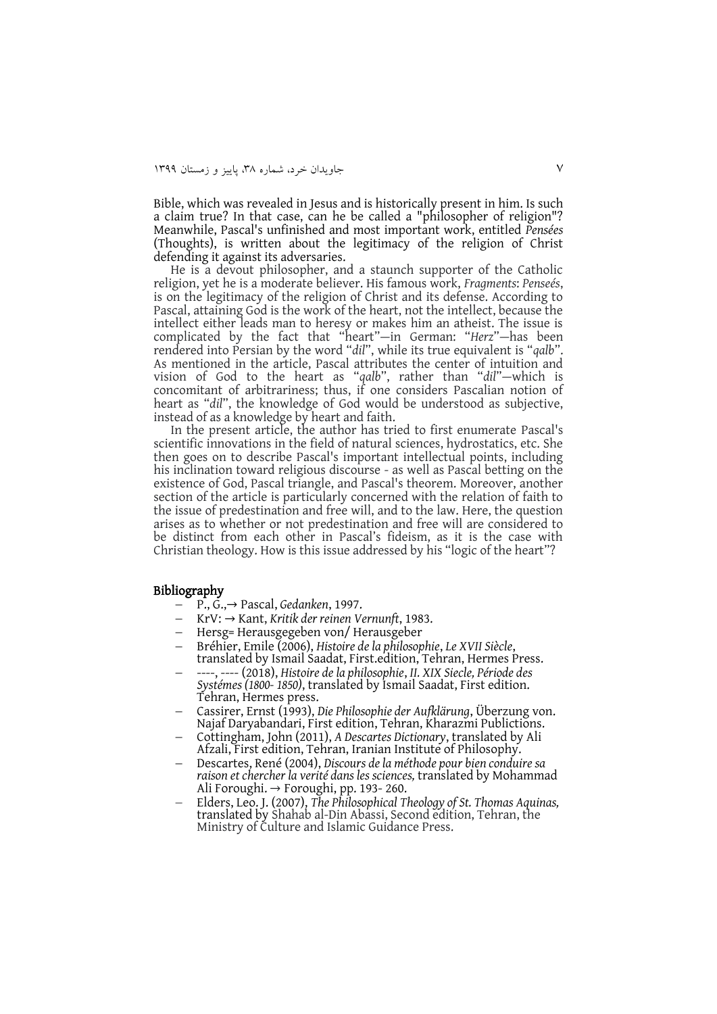Bible, which was revealed in Jesus and is historically present in him. Is such a claim true? In that case, can he be called a "philosopher of religion"? Meanwhile, Pascal's unfinished and most important work, entitled *Pensées* (Thoughts), is written about the legitimacy of the religion of Christ defending it against its adversaries.

He is a devout philosopher, and a staunch supporter of the Catholic religion, yet he is a moderate believer. His famous work, *Fragments*: *Penseés*, is on the legitimacy of the religion of Christ and its defense. According to Pascal, attaining God is the work of the heart, not the intellect, because the intellect either leads man to heresy or makes him an atheist. The issue is complicated by the fact that "heart"—in German: "*Herz*"—has been rendered into Persian by the word "*dil*", while its true equivalent is "*qalb*". As mentioned in the article, Pascal attributes the center of intuition and vision of God to the heart as "*qalb*", rather than "*dil*"—which is concomitant of arbitrariness; thus, if one considers Pascalian notion of heart as "*dil*", the knowledge of God would be understood as subjective, instead of as a knowledge by heart and faith.

In the present article, the author has tried to first enumerate Pascal's scientific innovations in the field of natural sciences, hydrostatics, etc. She then goes on to describe Pascal's important intellectual points, including his inclination toward religious discourse - as well as Pascal betting on the existence of God, Pascal triangle, and Pascal's theorem. Moreover, another section of the article is particularly concerned with the relation of faith to the issue of predestination and free will, and to the law. Here, the question arises as to whether or not predestination and free will are considered to be distinct from each other in Pascal's fideism, as it is the case with Christian theology. How is this issue addressed by his "logic of the heart"?

#### Bibliography

- P., G.,→ Pascal, *Gedanken*, 1997.
- KrV: → Kant, *Kritik der reinen Vernunft*, 1983.
- Hersg= Herausgegeben von/ Herausgeber
- Bréhier, Emile (2006), *Histoire de la philosophie*, *Le XVII Siècle*, translated by Ismail Saadat, First.edition, Tehran, Hermes Press.
- ----, ---- (2018), *Histoire de la philosophie*, *II. XIX Siecle, Période des Systémes (1800- 1850)*, translated by Ismail Saadat, First edition. Tehran, Hermes press.
- Cassirer, Ernst (1993), *Die Philosophie der Aufklärung*, Überzung von. Najaf Daryabandari, First edition, Tehran, Kharazmi Publictions.
- Cottingham, John (2011), *A Descartes Dictionary*, translated by Ali Afzali, First edition, Tehran, Iranian Institute of Philosophy.
- Descartes, René (2004), *Discours de la méthode pour bien conduire sa raison et chercher la verité dans les sciences,* translated by Mohammad Ali Foroughi. → Foroughi, pp. 193- 260.
- Elders, Leo. J. (2007), *The Philosophical Theology of St. Thomas Aquinas,* translated by Shahab al-Din Abassi, Second edition, Tehran, the Ministry of Culture and Islamic Guidance Press.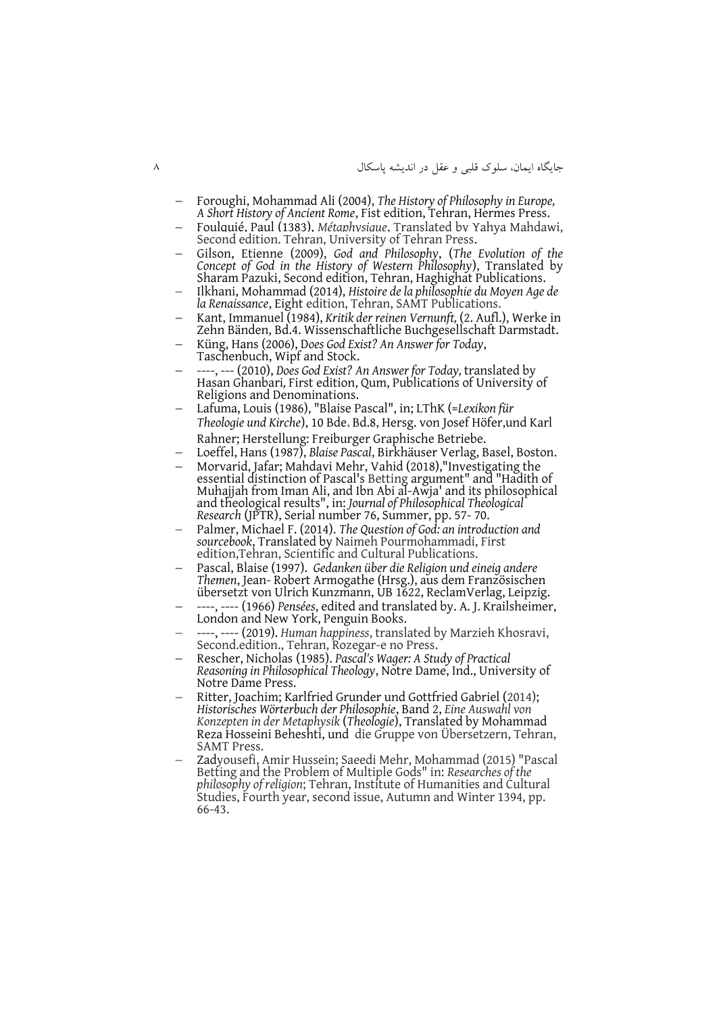- Foroughi, Mohammad Ali (2004), *The History of Philosophy in Europe, A Short History of Ancient Rome*, Fist edition, Tehran, Hermes Press.
- Foulquié, Paul (1383), *Métaphysique*, Translated by Yahya Mahdawi, Second edition. Tehran, University of Tehran Press.
- Gilson, Etienne (2009), *God and Philosophy*, (*The Evolution of the Concept of God in the History of Western Philosophy*), Translated by Sharam Pazuki, Second edition, Tehran, Haghighat Publications.
- Ilkhani, Mohammad (2014), *Histoire de la philosophie du Moyen Age de la Renaissance*, Eight edition, Tehran, SAMT Publications.
- Kant, Immanuel (1984), *Kritik der reinen Vernunft,* (2. Aufl.), Werke in Zehn Bänden, Bd.4. Wissenschaftliche Buchgesellschaft Darmstadt.
- Küng, Hans (2006), D*oes God Exist? An Answer for Today*, Taschenbuch, Wipf and Stock.
- ----, --- (2010), *Does God Exist? An Answer for Today,* translated by Hasan Ghanbari*,* First edition, Qum, Publications of University of Religions and Denominations.
- Lafuma, Louis (1986), "Blaise Pascal", in; LThK (=*Lexikon für Theologie und Kirche*), 10 Bde، Bd.8, Hersg. von Josef Höfer,und Karl Rahner; Herstellung: Freiburger Graphische Betriebe.
- Loeffel, Hans (1987), *Blaise Pascal*, Birkhäuser Verlag, Basel, Boston.
- Morvarid, Jafar; Mahdavi Mehr, Vahid (2018),"Investigating the essential distinction of Pascal's Betting argument" and "Hadith of Muhajjah from Iman Ali, and Ibn Abi al-Awja' and its philosophical and theological results", in: *Journal of Philosophical Theological Research* (JPTR), Serial number 76, Summer, pp. 57- 70.
- Palmer, Michael F. (2014). *The Question of God: an introduction and sourcebook*, Translated by Naimeh Pourmohammadi, First edition,Tehran, Scientific and Cultural Publications.
- Pascal, Blaise (1997). *Gedanken über die Religion und eineig andere Themen*, Jean- Robert Armogathe (Hrsg.), aus dem Französischen übersetzt von Ulrich Kunzmann, UB 1622, ReclamVerlag, Leipzig.
- ----, ---- (1966) *Pensées*, edited and translated by. A. J. Krailsheimer, London and New York, Penguin Books.
- ----, ---- (2019). *Human happiness*, translated by Marzieh Khosravi, Second.edition., Tehran, Rozegar-e no Press.
- Rescher, Nicholas (1985). *Pascal's Wager: A Study of Practical Reasoning in Philosophical Theology*, Notre Dame, Ind., University of Notre Dame Press.
- Ritter, Joachim; Karlfried Grunder und Gottfried Gabriel (2014); *Historisches Wörterbuch der Philosophie*, Band 2, *Eine Auswahl von Konzepten in der Metaphysik* (*Theologie*), Translated by Mohammad Reza Hosseini Beheshti, und die Gruppe von Übersetzern, Tehran, SAMT Press.
- Zadyousefi, Amir Hussein; Saeedi Mehr, Mohammad (2015) "Pascal Betting and the Problem of Multiple Gods" in: *Researches of the philosophy of religion*; Tehran, Institute of Humanities and Cultural Studies, Fourth year, second issue, Autumn and Winter 1394, pp. 66-43.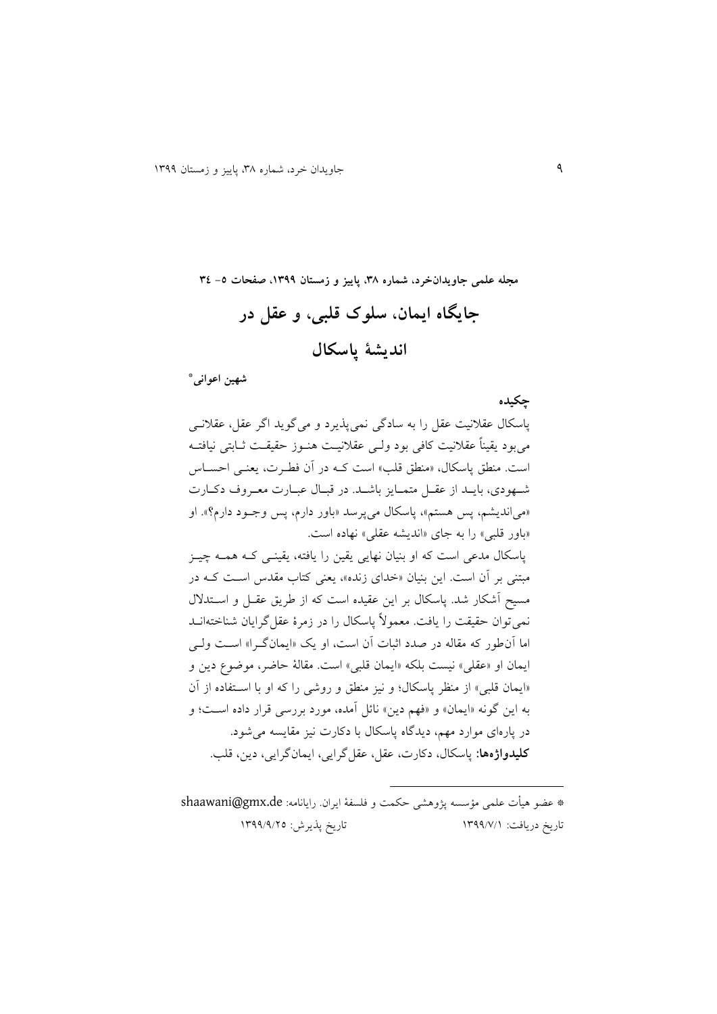**مجله علمی جاویدانخرد، شماره ،83 پاییز و زمستان ،9811 صفحات -5 83**

**جایگاه ایمان، سلوک قلبی، و عقل در اندیشة پاسکال**

**\* شهین اعوانی**

**چکیده**

پاسکال عقالنیت عقل را به سادگی نمیپذیرد و میگوید اگر عقل، عقالنیی میبود یقیناً عقالنیت کافی بود ولیی عقالنییت ونیوز ققیقیت ییابتی نیافتیه است. منطق پاسکال، «منطق قلب» است کـه در آن فطـرت، یعنـی احســاس شهودی، بایـد از عقـل متمـایز باشـد. در قبـال عبـارت معـروف دکـارت »میاندیشم، پس وستم«، پاسکال میپرسد »باور دارم، پس وجیود دارم ؟«. او «باور قلبی» را به جای «اندیشه عقلی» نهاده است. پاسکال مدعی است که او بنیان ندایی یقین را یافته، یقینیی کیه ومیه یییز مبتنی بر آن است. این بنیان «خدای زنده»، یعنی کتاب مقدس است ک هدر مسیح آشکار شد. پاسکال بر این عقیده است که از طریق عقـل و اسـتدلال نمی توان حقیقت را یافت. معمولاً پاسکال را در زمرهٔ عقل گرایان شناختهانــد اما آن طور که مقاله در صدد اثبات آن است، او یک «ایمانگرا» است ولی ایمان او «عقلی» نیست بلکه «ایمان قلبی» است. مقالهٔ حاضر، موضوع دین و «ایمان قلبی» از منظر پاسکال؛ و نیز منطق و روشی را که او با استفاده از آن به این گونه «ایمان» و «فهم دین» نائل آمده، مورد بررسی قرار داده است؛ و در پارهای موارد مهم، دیدگاه پاسکال با دکارت نیز مقایسه می شود. **کلیدواژهها:** پاسکال، دکار ، عقل، عقلگرایی، ایمانگرایی، دین، قلب.

\* عضو هیأت علمی مؤسسه پژوهشی حکمت و فلسفهٔ ایران. رایانامه: shaawani@gmx.de تاریخ دریافت: 9811/7/9 تاریخ پذیرش: 9811/1/52

 $\overline{\phantom{a}}$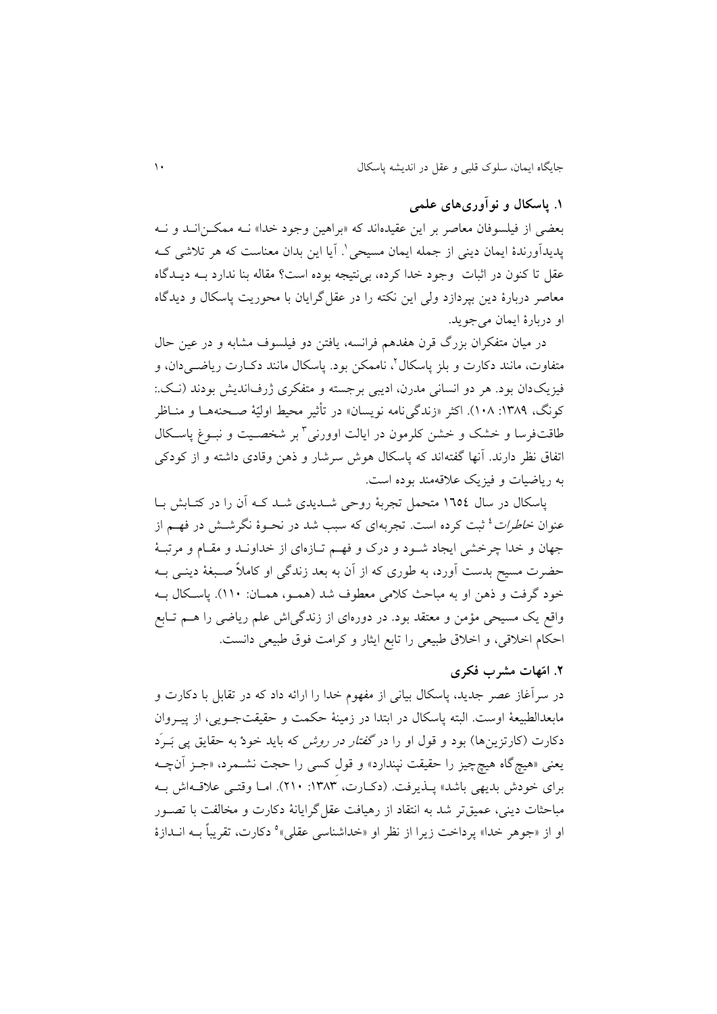## **.9 پاسکال و نوآوریهای علمی**

بعضی از فیلسوفان معاصر بر این عقیدهاند که «براهین وجود خدا» نــه ممکـن|نــد و نــه پدیدأورندهٔ ایمان دینی از جمله ایمان مسیحی`. أیا این بدان معناست که هر تلاشی کــه عقل تا کنون در اثبات وجود خدا کرده، بیiتیجه بوده است؟ مقاله بنا ندارد بــه دیــدگاه میاصر دربارة دین بپردازد ولی این نکته را در عقلگرایان با محوریت پاسکال و دیدگاه او دربارة ایمان میجوید.

در میان متفکران بزرگ قرن هفدهم فرانسه، یافتن دو فیلسوف مشابه و در عین حال متفاوت، مانند دکارت و بلز پاسکال ٔ، ناممکن بود. پاسکال مانند دکــارت ریاضــیدان، و فیزیکدان بود. هر دو انسانی مدرن، ادیبی برجسته و متفکری ژرفاندیش بودند (نـک.: کونگ، ۱۳۸۹: ۱۰۸). اکثر «زندگیiامه نویسان» در تأثیر محیط اولیّهٔ صـحنههـا و منــاظر طاقتفرسا و خشک و خشن کلرمون در ایالت اوورنی<sup>۲</sup> بر شخصـیت و نبــوغ پاســکال اتفاق نظر دارند. آنها گفتهاند که پاسکال هوش سرشار و ذهن وقادی داشته و از کودکی به ریاضیات و فیزیک علاقهمند بوده است.

پاسکال در سال ۱۳۵٤ متحمل تجربهٔ روحی شــدیدی شــد کــه اَن را در کتــابش بــا عنوان *خاطرات* <sup>؛</sup> ثبت کرده است. تجربهای که سبب شد در نحـوهٔ نگرشــش در فهــم از جهان و خدا چرخشی ایجاد شـود و درک و فهـم تـازهای از خداونـد و مقـام و مرتبـهٔ حضرت مسیح بدست آورد، به طوری که از آن به بعد زندگی او کاملاً صـبغهٔ دینـی بــه خود گرفت و ذهن او به مباحث کلامی معطوف شد (همـو، همـان: ١١٠). پاسـکال بـه واقع یک مسیحی مؤمن و معتقد بود. در دورهای از زندگیاش علم ریاضی را هــم تــابع اقکام اخالقی، و اخالق طبییی را تابع ایثار و کرامت فوق طبییی دانست.

## **.2 امّهات مشرب فکری**

در سرآغاز عصر جدید، پاسکال بیانی از مفهوم خدا را ارائه داد که در تقابل با دکارت و مابیدالطبییة اوست. البته پاسکال در ابتدا در زمینة قکمت و ققیقتجیویی، از پییروان دکارت (کارتزین ها) بود و قول او را در *گفتار در روش* که باید خودْ به حقایق پی بَیرَد یعنی «هیچگاه هیچچیز را حقیقت نپندارد» و قول کسی را حجت نشـمرد، «جـز آنچـه برای خودش بدیهی باشد» پیذیرفت. (دکیارت، ۱۳۸۳: ۲۱۰). امیا وقتبی علاقیهاش بیه مباحثات دینی، عمیقتر شد به انتقاد از رهیافت عقل گرایانهٔ دکارت و مخالفت با تصـور و از «جوهر خدا» پرداخت زیرا از نظر او «خداشناسی عقلی»<sup>ه</sup> دکارت، تقریباً بــه انــدازهٔ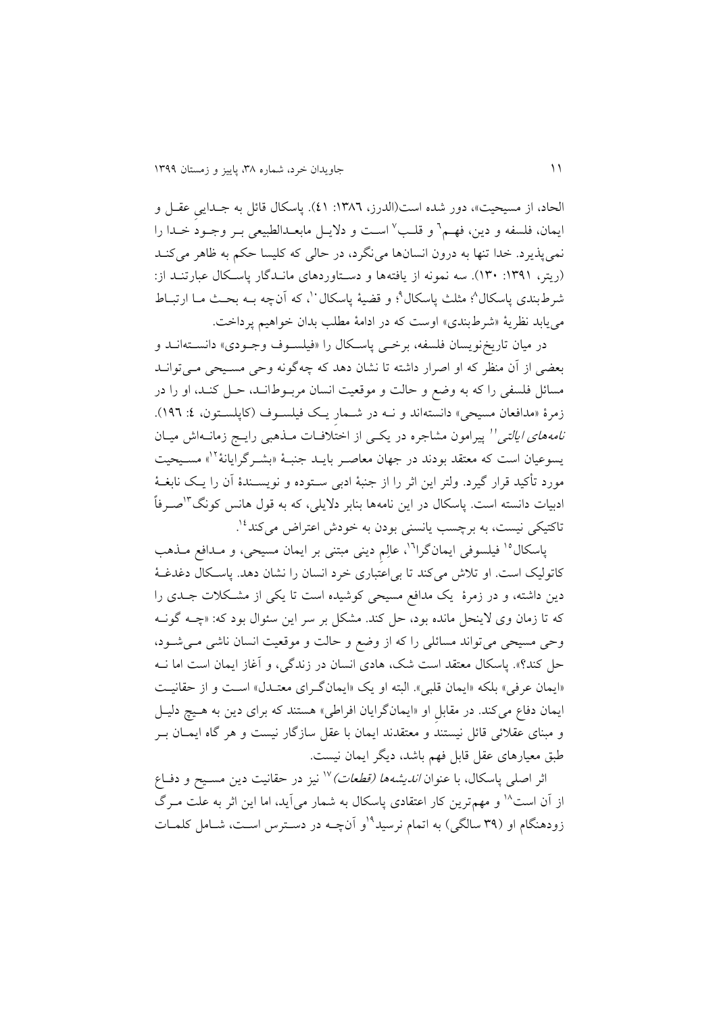الحاد، از مسیحیت»، دور شده است(الدرز، ١٣٨٦: ٤١). پاسکال قائل به جـدایی عقـل و یمان، فلسفه و دین، فهـم ` و قلـب ` اسـت و دلایــل مابعــدالطبیعی بــر وجــود خــدا را نمیپذیرد. خدا تنها به درون انسانها مینگرد، در حالی که کلیسا حکم به ظاهر میکنید (ریتر، ١٣٩١: ١٣٠). سه نمونه از یافتهها و دستاوردهای ماندگار پاسکال عبارتنـد از: ثىرطبندى پاسكال^؛ مثلث پاسكال°؛ و قضيهٔ پاسكال``، كه آنچه بــه بحــث مــا ارتبــاط می یابد نظریهٔ «شرطبندی» اوست که در ادامهٔ مطلب بدان خواهیم پرداخت.

در میان تاریخ نویسان فلسفه، برخی پاسکال را «فیلسوف وجـودی» دانسـته انــد و بعضی از أن منظر که او اصرار داشته تا نشان دهد که چهگونه وحی مسیحی میی توان مسائل فلسفی را که به وضع و حالت و موقعیت انسان مربوط انید، حیل کنید، او را در زمرهٔ «مدافعان مسیحی» دانستهاند و نــه در شــمار یـک فیلســوف (کاپلســتون، ٤: ١٩٦). *نامههای ایالتی'*' پیرامون مشاجره در یکـی از اختلافـات مــذهبی رایــج زمانــهاش میــان یسوعیان است که معتقد بودند در جهان معاصـر بایـد جنبـهٔ «بشـرگرایانهٔ ٌ`» مسـیحیت مورد تأکید قرار گیرد. ولتر این ایر را از جنبة ادبی سیتوده و نویسیندة نن را ییک نابةیة ادبیات دانسته است. پاسکال در این نامهها بنابر دلایلی، که به قول هانس کونگ<sup>۳</sup>اصـرفاً ناکتیکی نیست، به برچسب یانسنی بودن به خودش اعتراض میکند<sup>۱۶</sup>.

پاسکال<sup>۱۰</sup> فیلسوفی ایمان گرا<sup>۱۶</sup>، عالِم دینی مبتنی بر ایمان مسیحی، و مـدافع مـذهب کاتولیک است. او تلاش میکند تا بی اعتباری خرد انسان را نشان دهد. پاسکال دغدغهٔ دین داشته، و در زمرهٔ یک مدافع مسیحی کوشیده است تا یکی از مشکلات جـدی را که تا زمان وی لاینحل مانده بود، حل کند. مشکل بر سر این سئوال بود که: «چــه گونــه وحی مسیحی می تواند مسائلی را که از وضع و حالت و موقعیت انسان ناشی میی شود، حل کند؟». پاسکال معتقد است شک، هادی انسان در زندگی، و آغاز ایمان است اما نــه «ایمان عرفی» بلکه «ایمان قلبی». البته او یک «ایمانگرای معتـدل» اسـت و از حقانیـت ایمان دفاع میکند. در مقابل او «ایمانگرایان افراطی» هستند که برای دین به هـیچ دلیـل و مبنای عقلائی قائل نیستند و معتقدند ایمان با عقل سازگار نیست و هر گاه ایمان ب طبق معیارهای عقل قابل فهم باشد، دیگر ایمان نیست.

اثر اصلی پاسکال، با عنوان *اندیشهها (قطعات)* <sup>۱۷</sup> نیز در حقانیت دین مسـیح و دفـاع از آن است<sup>۱۸</sup> و مهم ترین کار اعتقادی پاسکال به شمار میآید، اما این اثر به علت مـرگ زودهنگام او (۳۹ سالگی) به اتمام نرسید<sup>۹</sup>او آنچـه در دسـترس اسـت، شـامل کلمـات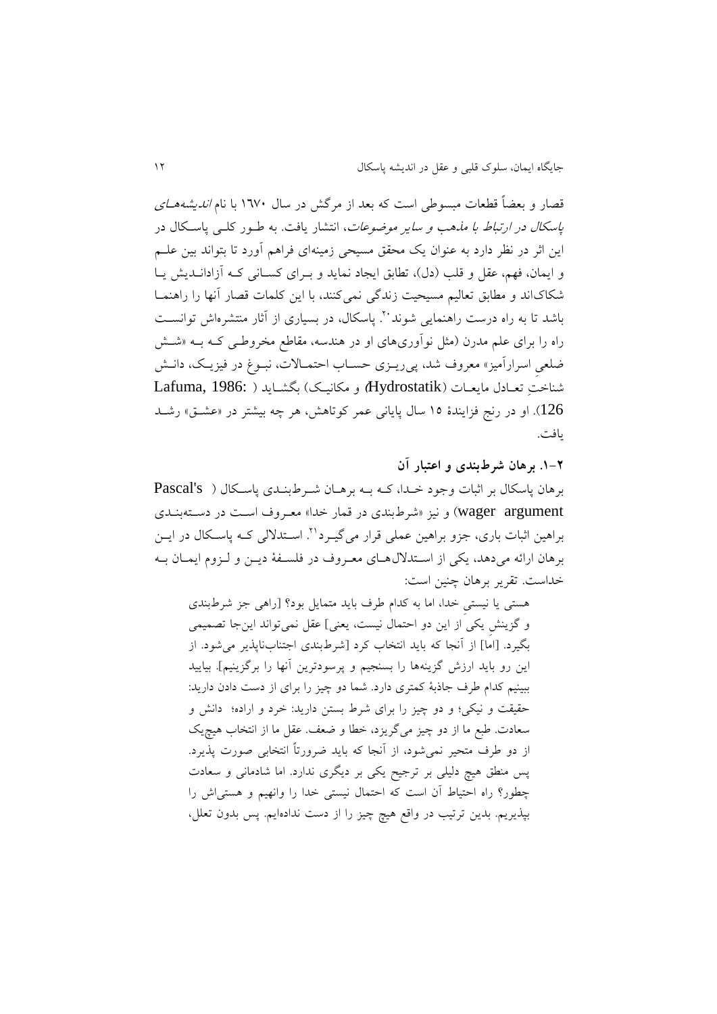قصار و بعضاً قطعات مبسوطی است که بعد از مرگش در سال ۱۳۷۰ با نام *اندیشههای* پاسکال *در ارتباط با مذهب و سایر موضوعات*، انتشار یافت. به طـور کلـی پاسـکال در این اثر در نظر دارد به عنوان یک محقق مسیحی زمینهای فراهم آورد تا بتواند بین علـم و ایمان، فهم، عقل و قلب (دل)، تطابق ایجاد نماید و بهرای کسانی که آزادانیدیش ییا شکاکاند و مطابق تعالیم مسیحیت زندگی نمی کنند، با این کلمات قصار أنها را راهنمـا باشد تا به راه درست راهنمایی شوند ``. پاسکال، در بسیاری از آثار منتشرهاش توانسـت راه را برای علم مدرن (مثل نوآوریهای او در هندسه، مقاطع مخروطی کـه بــه «شــش ضلعی اسرارآمیز» معروف شد، پیریــزی حســاب احتمــالات، نبــوغ در فیزیــک، دانــش شناختِ تییادل مایییا ) Hydrostatik **)**و مکانییک( بگشیاید ) 1986: ,Lafuma 126(. او در رن فزایندة 92 سال پایانی عمر کوتاوش، ور یه بیشتر در »عشیق « رشید یافت.

**.9-2 برهان شرطبندی و اعتبار آن** بروان پاسکال بر ایبا وجود خیدا، کیه بیه برویان شیرط بنید پاسیکال ) s'Pascal wager argument) و نیز «شرطبندی در قمار خدا» معروف است در دستهبندی براهین اثبات باری، جزو براهین عملی قرار می گیـرد''. اسـتدلالی کـه یاسـکال در ایــن برهان ارائه می دهد، یکی از استدلال هـای معـروف در فلسـفهٔ دیــن و لـزوم ایمـان بـه خداست. تقریر بروان ینین است:

وستی یا نیستیِ خدا، اما به کدام طرت باید متمایل بود؟ ]راوی جز شرطبند و گزینشِ یکی از این دو اقتمال نیست، یینی[ عقل نمیتواند اینجا تصمیمی بگیرد. ]اما[ از ننجا که باید انتخاب کرد ]شرطبند اجتنابناپذیر میشود. از این رو باید ارزش گزینهوا را بسنجیم و پرسودترین نندا را برگزینیم[. بیایید ببینیم کدام طرف جاذبهٔ کمتری دارد. شما دو چیز را برای از دست دادن دارید: حقیقت و نیکی؛ و دو چیز را برای شرط بستن دارید: خرد و اراده؛ دانش و سعادت. طبع ما از دو چیز میگریزد، خطا و ضعف. عقل ما از انتخاب هیچیک از دو طرف متحیر نمی شود، از آنجا که باید ضرورتاً انتخابی صورت پذیرد. پس منطق هیچ دلیلی بر ترجیح یکی بر دیگری ندارد. اما شادمانی و سعادت چطور؟ راه احتیاط أن است که احتمال نیستی خدا را وانهیم و هستی اش را بپذیریم. بدین ترتیب در واقع ویچ ییز را از دست ندادهایم. پس بدون تیلل،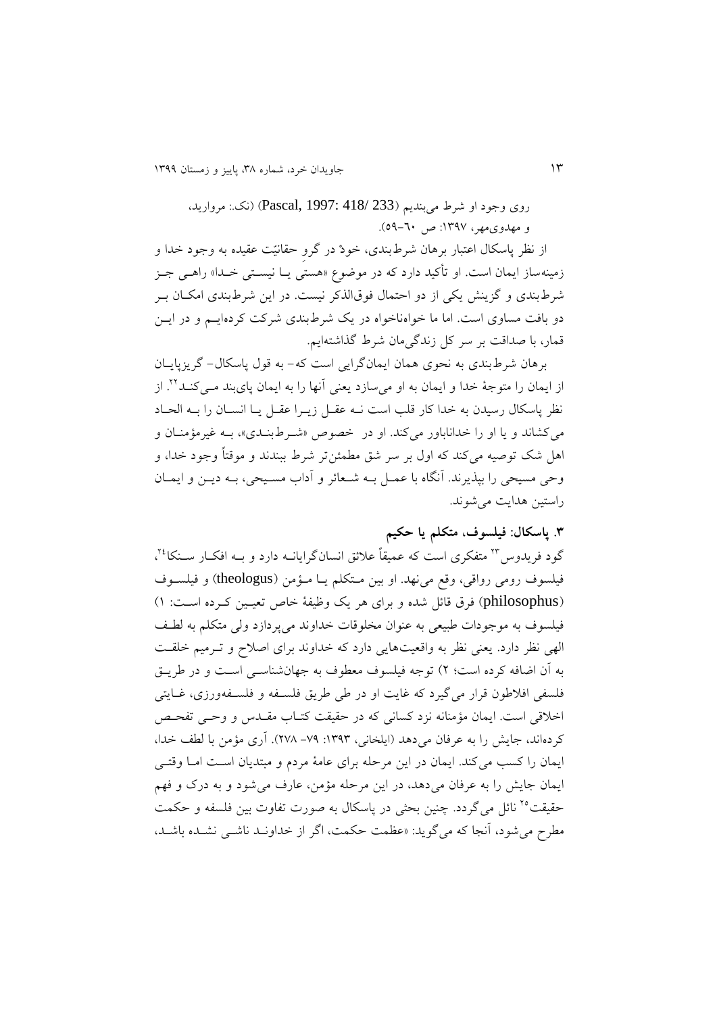روی وجود او شرط میبندیم (233 /418 :Pascal, 1997) (نک: مروارید، و مهدوى مهر، ١٣٩٧: ص ٦٠-٥٩).

از نظر پاسکال اعتبار برهان شرطبندی، خودْ در گرو حقانیّت عقیده به وجود خدا و زمینهساز ایمان است. او تأکید دارد که در موضوع »وستی ییا نیسیتی خیدا « راویی جیز شرطبندی و گزینش یکی از دو احتمال فوقالذکر نیست. در این شرطبندی امکـان بـر دو بافت مساوی است. اما ما خواهناخواه در یک شرطبندی شرکت کردهاییم و در ایس قمار، با صداقت بر سر کل زندگیمان شرط گذاشتهایم.

برهان شرطبندی به نحوی همان ایمانگرایی است که- به قول پاسکال- گریزپاییان از ایمان را متوجهٔ خدا و ایمان به او میسازد یعنی آنها را به ایمان پایبند مـیکنـد<sup>۲۲</sup>. از نظر پاسکال رسیدن به خدا کار قلب است نیه عقیل زییرا عقیل ییا انسیان را بیه الحیاد می کشاند و یا او را خداناباور میکند. او در خصوص «شیرط بنیدی»، بیه غیرمؤمنیان و اول شک توصیه میکند که اول بر سر شق مطمئنتر شرط ببندند و موقتاً وجود خدا، و وقی مسیحی را بپذیرند. ننگاه با عمیل بیه شییائر و نداب مسییحی، بیه دیین و ایمیان راستین ودایت میشوند.

**.8 پاسکال: فیلسوف، متکلم یا حکیم**

گود فریدوس™ متفکری است که عمیقاً علائق انسانگرایانــه دارد و بــه افکــار ســنکا<sup>٢٤</sup>، فیلسوت رومی رواقی، وقع میندد. او بین میتکلم ییا میؤمن ) theologus )و فیلسیوت (philosophus) فرق قائل شده و برای هر یک وظیفهٔ خاص تعیین کـرده اسـت: ۱) فیلسوف به موجودات طبیعی به عنوان مخلوقات خداوند می پردازد ولی متکلم به لطف الهی نظر دارد. یعنی نظر به واقعیتهایی دارد که خداوند برای اصلاح و تـرمیم خلقـت به نن اضافه کرده است؛ 5( توجه فیلسوت میطوت به جدانشناسیی اسیت و در طرییق فلسفی افلاطون قرار می گیرد که غایت او در طی طریق فلســفه و فلســفهورزی، غــایتی اخلاقی است. ایمان مؤمنانه نزد کسانی که در حقیقت کتـاب مقـدس و وحـی تفحـص کردهاند، جایش را به عرفان می دهد (ایلخانی، ۱۳۹۳: ۷۹– ۲۷۸). آری مؤمن با لطف خدا، ایمان را کسب می کند. ایمان در این مرحله برای عامهٔ مردم و مبتدیان است اما وقتی ایمان جایش را به عرفان می دهد، در این مرحله مؤمن، عارف می شود و به درک و فهم حقیقت<sup>۲۰</sup> نائل میگردد. چنین بحثی در پاسکال به صورت تفاوت بین فلسفه و حکمت مطرح میشود، ننجا که میگوید: »عظمت قکمت، اگر از خداونید ناشیی نشیده باشید،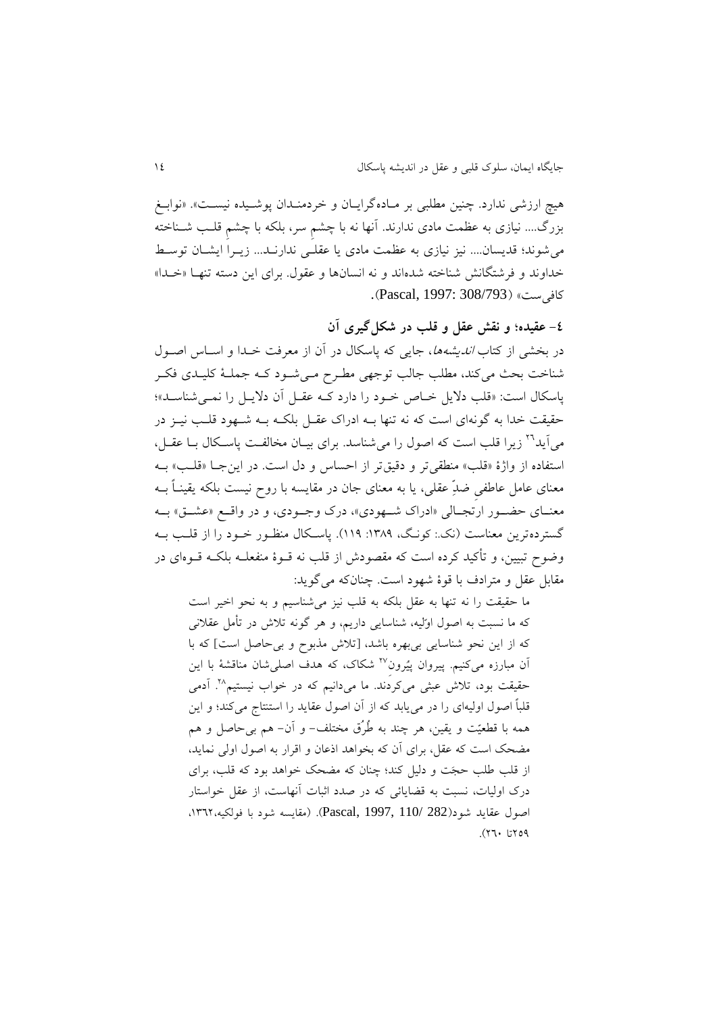هیچ ارزشی ندارد. چنین مطلبی بر مـادهگرایـان و خردمنـدان پوشـیده نیسـت». «نوابـغ بزرگ.... نیازی به عظمت مادی ندارند. آنها نه با چشمِ سر، بلکه با چشمِ قلـب شــناخته میشوند؛ قدیسان.... نیز نیاز به عظمت ماد یا عقلیی ندارنید... زییرا ایشیان توسیط خداوند و فرشتگانش شناخته شدهاند و نه انسانها و عقول. برای این دسته تنهـا «خـدا» کافیست« )308/793 1997: ,Pascal).

**-3 عقیده؛ و نقش عقل و قلب در شکلگیری آن**

در بخشی از کتاب *اندیشهها*، جایی که پاسکال در آن از معرفت خـدا و اسـاس اصـول شناخت بحث می کند، مطلب جالب توجهی مطرح می شود ک) جملهٔ کلیـدی فکـر پاسکال است: «قلب دلایل خیاص خیود را دارد کیه عقیل آن دلاییل را نمی شناسید»؛ حقیقت خدا به گونهای است که نه تنها بیه ادراک عقبل بلکیه بیه شیهود قلب نییز در می أید<sup>71</sup> زیرا قلب است که اصول را می شناسد. برای بیـان مخالفـت پاسـکال بــا عقــل، استفاده از واژهٔ «قلب» منطقیتر و دقیقتر از احساس و دل است. در این جا «قلب» بـه معنای عامل عاطفی ضدِّ عقلی، یا به معنای جان در مقایسه با روح نیست بلکه یقینـاً بــه معنــای حضــور ارتجــالی «ادراک شــهودي»، درک وجــودي، و در واقــع «عشــق» بــه گستردهترین معناست (نک: کونگ، ١٣٨٩: ١١٩). پاسکال منظـور خـود را از قلـب بـه وضوح تبیین، و تأکید کرده است که مقصودش از قلب نه قــوهٔ منفعلــه بلکــه قــوهای در مقابل عقل و مترادت با قوة شدود است. ینانکه میگوید:

ما حقیقت را نه تنها به عقل بلکه به قلب نیز میشناسیم و به نحو اخیر است که ما نسبت به اصول اوّلیه، شناسایی داریم، و ور گونه تالش در تأمل عقالنی که از این نحو شناسایی بیبدره باشد، ]تالش مذبوح و بیقاصل است[ که با آن مبارزه میکنیم. پیروان پیُرون<sup>۲۷</sup> شکاک، که هدف اصلی شان مناقشهٔ با این حقیقت بود، تلاش عبثی میکردند. ما میدانیم که در خواب نیستیم<sup>۲۸</sup>. آدمی قلباً اصول اولیها را در مییابد که از نن اصول عقاید را استنتاج میکند؛ و این همه با قطعیّت و یقین، هر چند به طُرُق مختلف- و آن- هم بی حاصل و هم مضحک است که عقل، برای آن که بخواهد اذعان و اقرار به اصول اولی نماید، از قلب طلب قجَت و دلیل کند؛ ینان که مضحک خواود بود که قلب، برا درک اولیات، نسبت به قضایائی که در صدد اثبات آنهاست، از عقل خواستار اصول عقاید شود)282 110/ 1997, ,Pascal).( مقایسه شود با فولکیه،9865،  $(77.1509$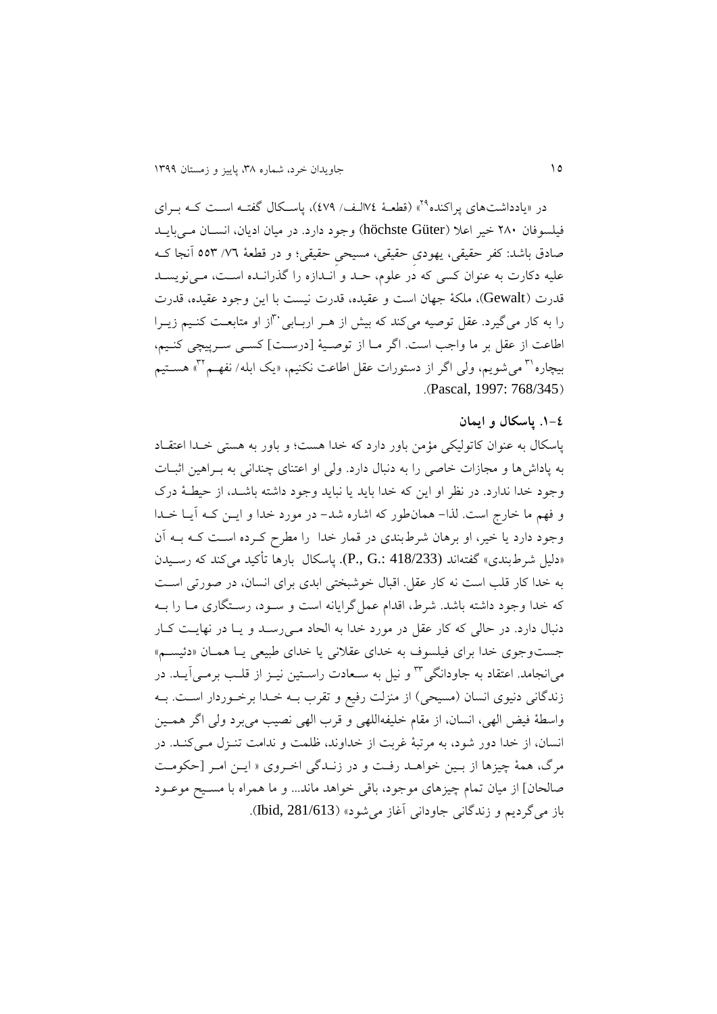در «یادداشتهای پراکنده<sup>۲۹</sup>» (قطعـهٔ ۷۶الـف/ ٤٧٩)، پاسـکال گفتـه اسـت کــه بــرای فیلسوفان 531 خیر اعال )Güter höchste )وجود دارد. در میان ادیان، انسیان میی بایید صادق باشد: کفر حقیقی، یهودی حقیقی، مسیحی حقیقی؛ و در قطعهٔ ۷۲/ ۵۵۳ آنجا ک علیه دکارت به عنوان کسی که در علوم، حـد و انـدازه را گذرانـده اسـت، مـیiویسـد قدرت (Gewalt)، ملکهٔ جهان است و عقیده، قدرت نیست با این وجود عقیده، قدرت را به کار می گیرد. عقل توصیه می کند که بیش از هـر اربـابی "از او متابعـت کنـیم زیـرا اطاعت از عقل بر ما واجب است. اگر مـا از توصـیهٔ [درسـت] کسـی سـرپیچی کنـیم، بیچاره'<sup>۳</sup> می شویم، ولی اگر از دستورات عقل اطاعت نکنیم. «یک ابله/ نفهـم'<sup>۳۲</sup>» هســتیم .)Pascal, 1997: 768/345(

## **.9-3 پاسکال و ایمان**

پاسکال به عنوان کاتولیکی مؤمن باور دارد که خدا هست؛ و باور به هستی خیدا اعتقیاد به پاداش ها و مجازات خاصی را به دنبال دارد. ولی او اعتنای چندانی به بـراهین اثبــات وجود خدا ندارد. در نظر او این که خدا باید یا نباید وجود داشته باشید، از قیطیة درک و فدم ما خارج است. لذا- ومانطور که اشاره شد- در مورد خدا و ایین کیه نییا خیدا وجود دارد یا خیر، او برهان شرطبندی در قمار خدا را مطرح کـرده اسـت کـه بـه آن «دلیل شرطبندی» گفتهاند (418/233 .P). پاسکال بارها تأکید می کند که رسیدن به خدا کار قلب است نه کار عقل. اقبال خوشبختی ابدی برای انسان، در صورتی است که خدا وجود داشته باشد. شرط، اقدام عملگرایانه است و سیود، رسیتگار میا را بیه دنبال دارد. در حالی که کار عقل در مورد خدا به الحاد می رسـد و یـا در نهایـت کـار جست وجوی خدا برای فیلسوف به خدای عقلانی یا خدای طبیعی یـا همـان «دئیسـم» میانجامد. اعتقاد به جاودانگی™ و نیل به سـعادت راسـتین نیــز از قلــب برمــی[یــد. در زندگانی دنیوی انسان (مسیحی) از منزلت رفیع و تقرب بـه خـدا برخـوردار اسـت. بـه واسطهٔ فیض الهی، انسان، از مقام خلیفهاللهی و قرب الهی نصیب میبرد ولی اگر همین انسان، از خدا دور شود، به مرتبهٔ غربت از خداوند، ظلمت و ندامت تنـزل مـی کنـد. در مرگ، همهٔ چیزها از بین خواهـد رفت و در زنـدگی اخـروی « ایـن امـر [حکومـت صالحان] از میان تمام چیزهای موجود، باقی خواهد ماند... و ما همراه با مسـیح موعـود باز میگردیم و زندگانی جاودانی آغاز میشود» (1/613 ,Ibid).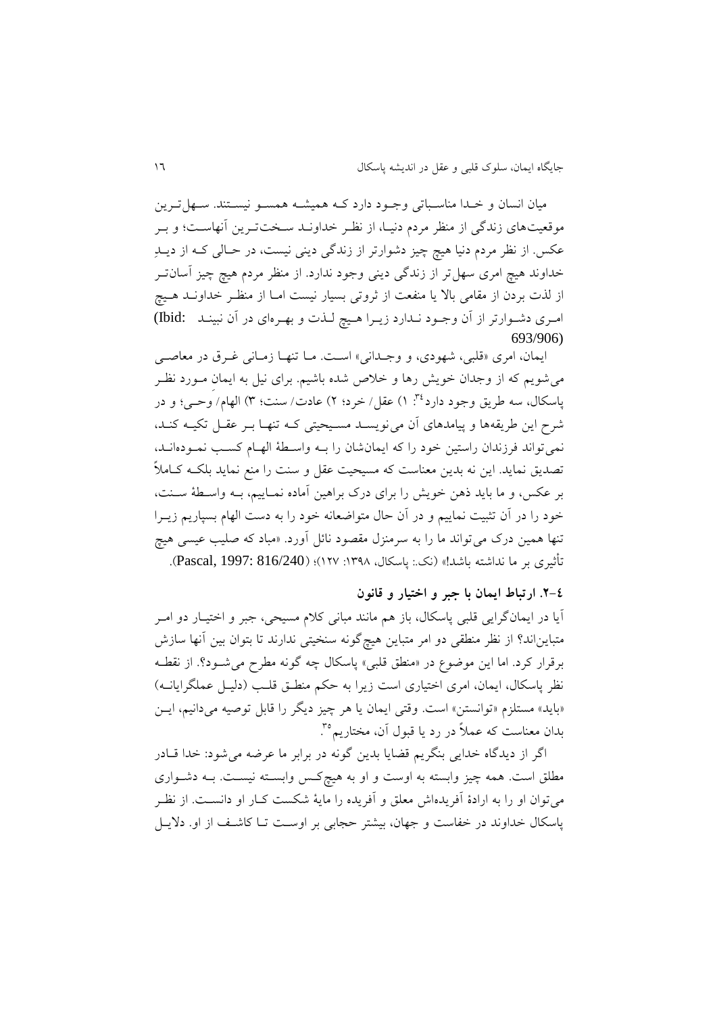میان انسان و خیدا مناسیباتی وجیود دارد کیه ومیشیه ومسیو نیسیتند. سیدل تیرین موقعیتهای زندگی از منظر مردم دنیـا، از نظـر خداونـد سـختتـرین آنهاسـت؛ و بـر عکس. از نظر مردم دنیا هیچ چیز دشوارتر از زندگی دینی نیست، در حـالی کــه از دیــلـِ خداوند هیچ امری سهل تر از زندگی دینی وجود ندارد. از منظر مردم هیچ چیز آسانت از لذت بردن از مقامی بالا یا منفعت از ثروتی بسیار نیست امـا از منظـر خداونـد هـیچ امری دشوارتر از آن وجود نیدارد زییرا هیچ لیذت و بهیرمای در آن نبینید : Ibid) 693/906)

ایمان، امری «قلبی، شهودی، و وجـدانی» اسـت. مـا تنهـا زمـانی غـرق در معاصـی می شویم که از وجدان خویش رها و خلاص شده باشیم. برای نیل به ایمان مـورد نظـر ياسكال، سه طريق وجود دارد<sup>؟۳</sup>: ۱) عقل/ خرد؛ ۲) عادت/ سنت؛ ۳) الهام/ وحي؛ و در شرح این طریقهها و پیامدهای آن می نویسد مسیحیتی ک تنها بـر عقـل تکیـه کنـد، نمیتواند فرزندان راستین خود را که ایمانشان را بیه واسیطة الدیام کسیب نمیوده انید، تصدیق نماید. این نه بدین میناست که مسیحیت عقل و سنت را منع نماید بلکیه کیامالً بر عکس، و ما باید ذهن خویش را برای درک براهین آماده نمـاییم، بـه واسـطهٔ سـنت، خود را در آن تثبیت نماییم و در آن حال متواضعانه خود را به دست الهام بسپاریم زیــرا تنها همین درک میتواند ما را به سرمنزل مقصود نائل آورد. «مباد که صلیب عیسی هیچ تأثیر بر ما نداشته باشد!» (نک: پاسکال، ۱۳۹۸: ۱۲۷)؛ (Pascal, 1997: 816/240).

**.2-3 ارتباط ایمان با جبر و اختیار و قانون**

نیا در ایمانگرایی قلبی پاسکال، باز وم مانند مبانی کالم مسیحی، جبر و اختییار دو امیر متبایناند؟ از نظر منطقی دو امر متباین هیچگونه سنخیتی ندارند تا بتوان بین آنها سازش برقرار کرد. اما این موضوع در »منطق قلبی« پاسکال یه گونه مطرح میشیود؟. از نقطیه نظر پاسکال، ایمان، امری اختیاری است زیرا به حکم منطـق قلـب (دلیـل عملگرایانــه) «باید» مستلزم «توانستن» است. وقتی ایمان یا هر چیز دیگر را قابل توصیه میدانیم، ایـن بدان معناست که عملاً در رد یا قبول أن، مختاریم°<sup>۳</sup>.

اگر از دیدگاه خدایی بنگریم قضایا بدین گونه در برابر ما عرضه میشود: خدا قیادر مطلق است. ومه ییز وابسته به اوست و او به ویچکیس وابسیته نیسیت. بیه دشیوار میتوان او را به ارادة نفریدهاش میلق و نفریده را مایة شکست کیار او دانسیت. از نظیر پاسکال خداوند در خفاست و جهان، بیشتر حجابی بر اوست تــا کاشـف از او. دلایــل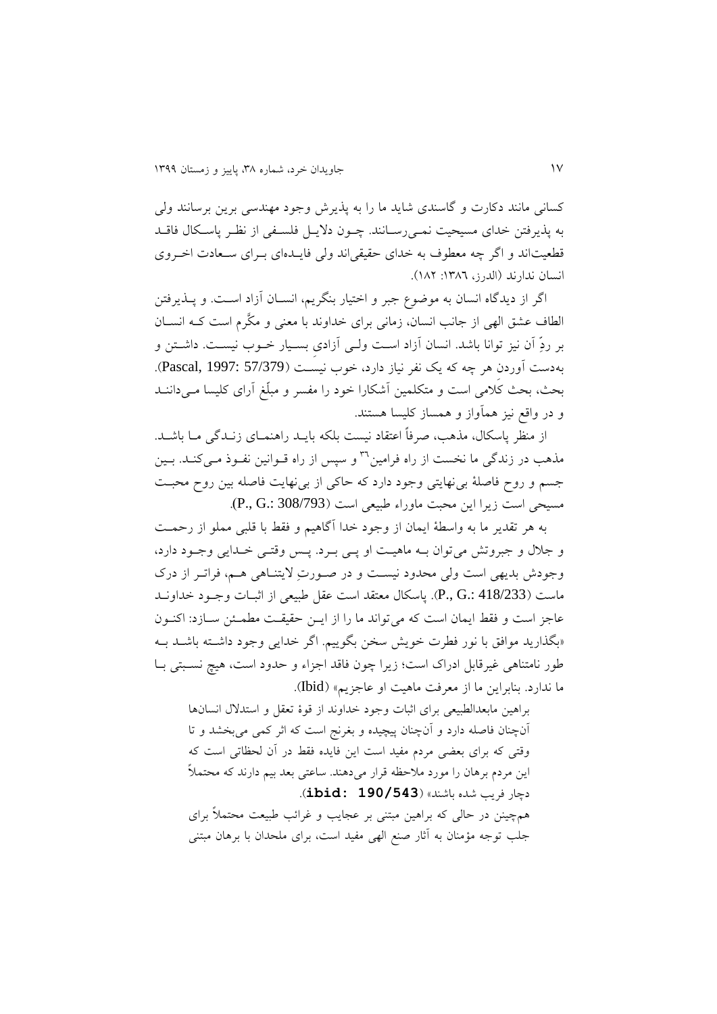کسانی مانند دکارت و گاسندی شاید ما را به پذیرش وجود مهندسی برین برسانند ولی به پذیرفتن خدای مسیحیت نمی رسانند. چـون دلایـل فلسـفی از نظـر پاسـکال فاقـد قطعیتاند و اگر چه معطوف به خدای حقیقیاند ولی فاییدهای بیرای سیعادت اختروی انسان ندارند (الدرز، ١٣٨٦: ١٨٢).

اگر از دیدگاه انسان به موضوع جبر و اختیار بنگریم، انسیان نزاد اسیت. و پیذیرفتن الطاف عشق الهی از جانب انسان، زمانی برای خداوند با معنی و مکَّرم است کـه انســان بر ردِِّ نن نیز توانا باشد. انسان نزاد اسیت ولیی نزاد ِ بسییار خیوب نیسیت. داشیتن و به دست آوردن هر چه که یک نفر نیاز دارد، خوب نیست (Pascal, 1997: 57/379). بحث، بحث کالمی است و متکلمین نشکارا خود را ماسر و مبلِّ نرا کلیسا میی داننید و در واقع نیز ومآواز و ومساز کلیسا وستند.

از منظر پاسکال، مذهب، صرفاً اعتقاد نیست بلکه بایـد راهنمــای زنــدگی مــا باشــد. مذهب در زندگی ما نخست از راه فرامین<sup>۳۹</sup> و سپس از راه قــوانین نفــوذ مــیکنــد. بــین جسم و روح فاصلهٔ بی نهایتی وجود دارد که حاکی از بی نهایت فاصله بین روح محبت مسیحی است زیرا این محبت ماوراء طبییی است )308/793 .:G .,P).

به هر تقدیر ما به واسطهٔ ایمان از وجود خدا آگاهیم و فقط با قلبی مملو از رحمت و جالل و جبروتش میتوان بیه ماوییت او پیی بیرد. پیس وقتیی خیدایی وجیود دارد، وجودش بدیهی است ولی محدود نیست و در صورتِ لایتناهی هـم، فراتـر از درک ماست (418/233 .P., G). پاسکال معتقد است عقل طبیعی از اثبـات وجـود خداونــد عاجز است و فقط ایمان است که میتواند ما را از ایین ققیقیت مطمیئن سیازد: اکنیون »بگذارید موافق با نور فطر خویش سخن بگوییم. اگر خدایی وجود داشیته باشید بیه طور نامتناهی غیرقابل ادراک است؛ زیرا چون فاقد اجزاء و حدود است، هیچ نسبتی بـا ما ندارد. بنابراین ما از معرفت ماهیت او عاجزیم» (Ibid).

براهین مابعدالطبیعی برای اثبات وجود خداوند از قوهٔ تعقل و استدلال انسانها أنچنان فاصله دارد و أنچنان پیچیده و بغرنج است که اثر کمی میبخشد و تا وقتی که برای بعضی مردم مفید است این فایده فقط در آن لحظاتی است که این مردم برهان را مورد ملاحظه قرار میدهند. ساعتی بعد بیم دارند که محتملاً دیار فریب شده باشند« )**190/543 :ibid**). همچینن در حالی که براهین مبتنی بر عجایب و غرائب طبیعت محتملاً برای جلب توجه مؤمنان به آثار صنع الهی مفید است، برای ملحدان با برهان مبتنی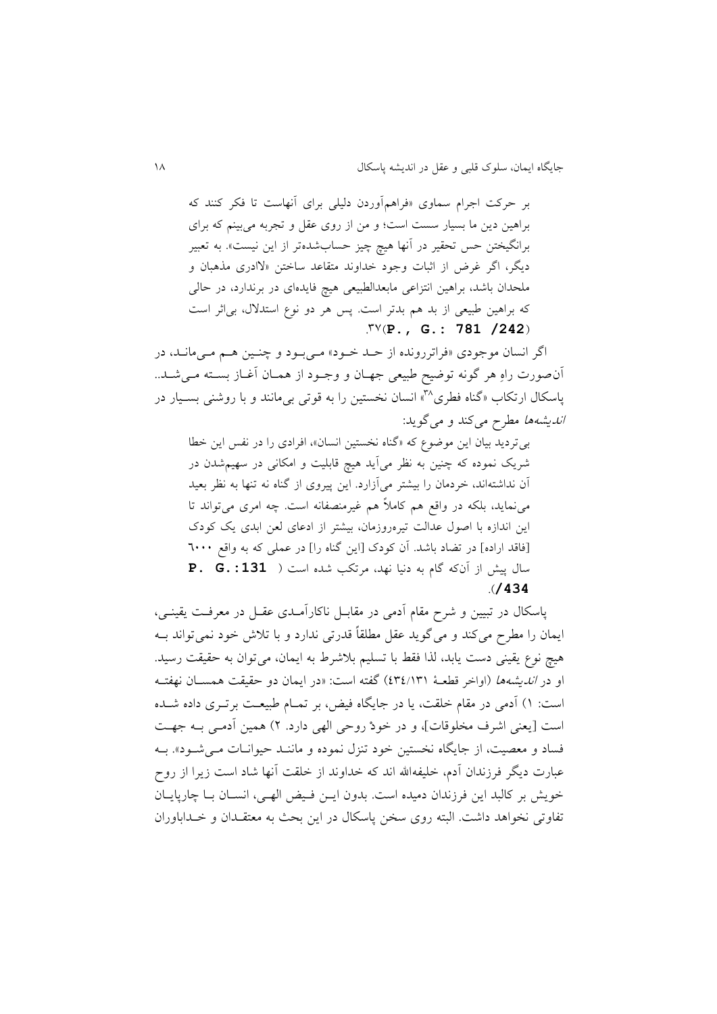بر حرکت اجرام سماوی «فراهمآوردن دلیلی برای آنهاست تا فکر کنند که براهین دین ما بسیار سست است؛ و من از روی عقل و تجربه میبینم که برای برانگیختن حس تحقیر در آنها هیچ چیز حسابشدهتر از این نیست». به تعبیر دیگر، اگر غرض از اثبات وجود خداوند متقاعد ساختن «لاادری مذهبان و ملحدان باشد، براهین انتزاعی مابعدالطبیعی هیچ فایدهای در برندارد، در حالی که براهین طبیعی از بد هم بدتر است. پس هر دو نوع استدلال، بی اثر است  $N'(P., G.: 781 /242)$ 

اگر انسان موجودی «فراتررونده از حـد خـود» مـیبود و چنـین هـم مـیمانـد، در آنصورت راهِ هر گونه توضیح طبیعی جهـان و وجـود از همـان أغـاز بسـته مـیشـد.. یاسکال ارتکاب «گناه فطری"آ» انسان نخستین را به قوتی بی مانند و با روشنی بسـیار در اندیشهوا مطرح میکند و میگوید:

بی تردید بیان این موضوع که «گناه نخستین انسان»، افرادی را در نفس این خطا شریک نموده که چنین به نظر میآید هیچ قابلیت و امکانی در سهیمشدن در آن نداشتهاند، خردمان را بیشتر میآزارد. این پیروی از گناه نه تنها به نظر بعید می نماید، بلکه در واقع هم کاملاً هم غیرمنصفانه است. چه امری می تواند تا این اندازه با اصول عدالت تیرهروزمان، بیشتر از ادعای لعن ابدی یک کودک [فاقد اراده] در تضاد باشد. آن کودک [این گناه را] در عملی که به واقع ٦٠٠٠ سال پیش از ننکه گام به دنیا ندد، مرتکب شده است ) **.:131G .P** .)**/434**

پاسکال در تبیین و شرح مقام ندمی در مقابیل ناکارنمید عقیل در میرفیت یقینیی، ایمان را مطرح میکند و میگوید عقل مطلقاً قدرتی ندارد و با تالش خود نمیتواند بیه هیچ نوع یقینی دست یابد، لذا فقط با تسلیم بلاشرط به ایمان، میتوان به حقیقت رسید. او در *اندیشهها* (اواخر قطعـهٔ ۶۳٤/۱۳۱) گفته است: «در ایمان دو حقیقت همســان نهفتــه است: ۱) آدمی در مقام خلقت، یا در جایگاه فیض، بر تمــام طبیعــت برتــری داده شــده است [یعنی اشرف مخلوقات]، و در خودْ روحی الهی دارد. ۲) همین آدمبی بـه جهـت فساد و معصیت، از جایگاه نخستین خود تنزل نموده و ماننـد حیوانـات مـی شـود». بـه عبارت دیگر فرزندان آدم، خلیفهالله اند که خداوند از خلقت آنها شاد است زیرا از روح خویش بر کالبد این فرزندان دمیده است. بدون ایـن فـیض الهـی، انسـان بـا چارپایـان تفاوتی نخواهد داشت. البته روی سخن پاسکال در این بحث به معتقـدان و خــداباوران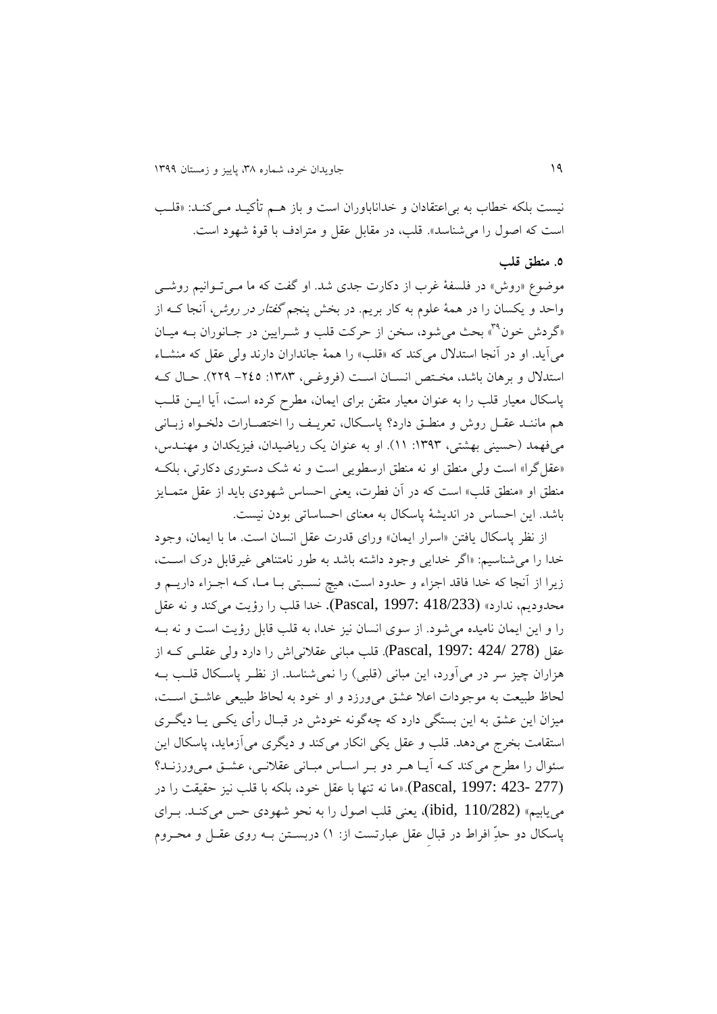نیست بلکه خطاب به بیاعتقادان و خداناباوران است و باز ویم تأکیید میی کنید: »قلیب است که اصول را می شناسد». قلب، در مقابل عقل و مترادف با قوهٔ شهود است.

#### **.5 منطق قلب**

موضوع «روش» در فلسفهٔ غرب از دکارت جدی شد. او گفت که ما مـبیتوانیم روشـبی واحد و یکسان را در همهٔ علوم به کار بریم. در بخش پنجم *گفتار در روش،* آنجا کــه از »گردش خون « بحث میشود، سخن از قرکت قلب و شیرایین در جیانوران بیه مییان <sup>81</sup> میآید. او در آنجا استدلال میکند که «قلب» را همهٔ جانداران دارند ولی عقل که منشـاء استدلال و برهان باشد، مختص انسان است (فروغیی، ۱۳۸۳: ۲٤٥- ۲۲۹). حیال ک پاسکال معیار قلب را به عنوان معیار متقن برای ایمان، مطرح کرده است، آیا ایـن قلـب هم ماننـد عقـل روش و منطـق دارد؟ پاسـكال، تعریـف را اختصـارات دلخـواه زبـانی میفهمد (حسینی بهشتی، ۱۳۹۳: ۱۱). او به عنوان یک ریاضیدان، فیزیکدان و مهنــدس، «عقل گرا» است ولی منطق او نه منطق ارسطویی است و نه شک دستوری دکارتی، بلکه منطق او «منطق قلب» است که در آن فطرت، یعنی احساس شهودی باید از عقل متمـایز باشد. این احساس در اندیشهٔ پاسکال به معنای احساساتی بودن نیست.

از نظر پاسکال یافتن «اسرار ایمان» ورای قدرت عقل انسان است. ما با ایمان، وجود خدا را میشناسیم: »اگر خدایی وجود داشته باشد به طور نامتناوی غیرقابل درک اسیت، زیرا از آنجا که خدا فاقد اجزاء و حدود است، هیچ نسـبتی بــا مــا، کــه اجــزاء داریـــم و محدودیم، ندارد« )418/233 1997: ,Pascal). خدا قلب را رؤیت میکند و نه عقل را و این ایمان نامیده می شود. از سوی انسان نیز خدا، به قلب قابل رؤیت است و نه بـه عقل (278 /424 :Pascal, 1997ب قلب مبانی عقلانی اش را دارد ولی عقلبی کـه از هزاران چیز سر در می[ورد، این مبانی (قلبی) را نمیشناسد. از نظـر پاسـکال قلـب بــه لحاظ طبیعت به موجودات اعلا عشق می ورزد و او خود به لحاظ طبیعی عاشت است، میزان این عشق به این بستگی دارد که یهگونه خودش در قبیال ری یکیی ییا دیگیر استقامت بخرج میدهد. قلب و عقل یکی انکار میکند و دیگری می آزماید، پاسکال این سئوال را مطرح می کند ک) آیا هـر دو بـر اسـاس مبـانی عقلانـی، عشـق مـیورزنـد؟ )277 423- 1997: ,Pascal).« ما نه تندا با عقل خود، بلکه با قلب نیز ققیقت را در می یابیم» (110/282 ,ibid)، یعنی قلب اصول را به نحو شهودی حس میکند. بـرای پاسکال دو حدِّ افراط در قبال عقل عبارتست از: ۱) دربسـتن بــه روی عقــل و محــروم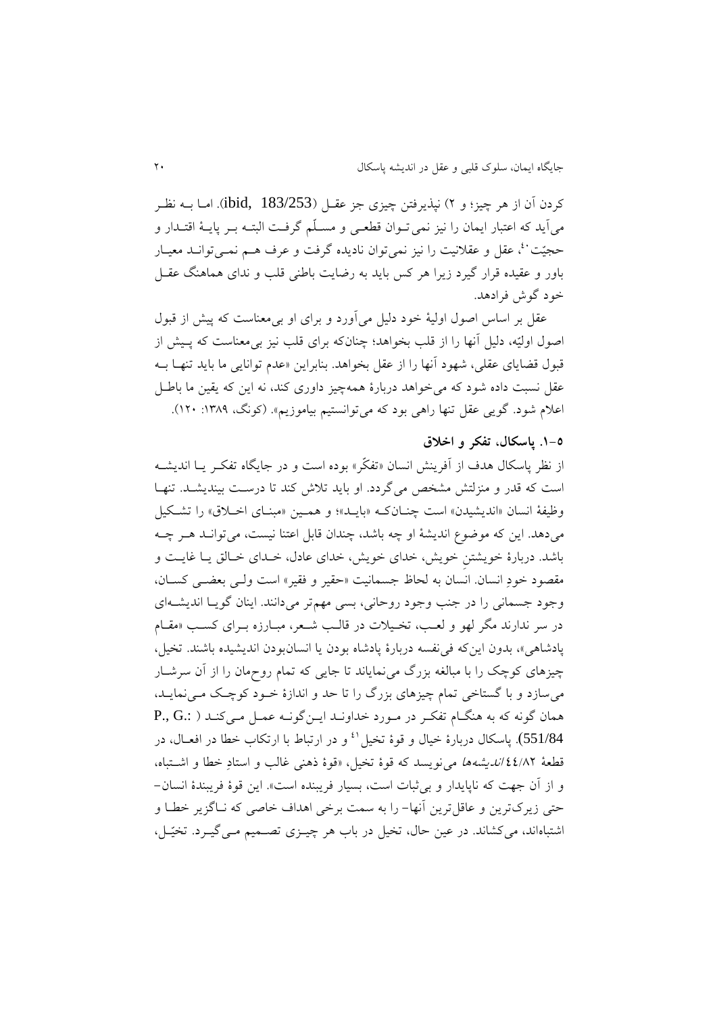کردن آن از هر چیز؛ و ۲) نپذیرفتن چیزی جز عقبل (ibid, 183/253). امـا بــه نظـر میآید که اعتبار ایمان را نیز نمی تـوان قطعـی و مسـلَّم گرفـت البتـه بـر پایــهٔ اقتـدار و حجیّت ُ'، عقل و عقلانیت را نیز نمی توان نادیده گرفت و عرف هـم نمـی توانـد معیـار باور و عقیده قرار گیرد زیرا هر کس باید به رضایت باطنی قلب و ندای هماهنگ عقـل خود گوش فرادهد.

عقل بر اساس اصول اولیهٔ خود دلیل می آورد و برای او بی معناست که پیش از قبول اصول اولیّه، دلیل آنها را از قلب بخواهد؛ چنانکه برای قلب نیز بی معناست که پـیش از قبول قضایای عقلی، شهود أنها را از عقل بخواهد. بنابراین «عدم توانایی ما باید تنهـا بــه عقل نسبت داده شود که می خواهد دربارهٔ همهچیز داوری کند، نه این که یقین ما باطل اعلام شود. گویی عقل تنها راهی بود که میتوانستیم بیاموزیم». (کونگ، ۱۳۸۹: ۱۲۰).

### **.9-5 پاسکال، تفکر و اخالق**

از نظر پاسکال هدف از اَفرینش انسان «تفکّر» بوده است و در جایگاه تفکـر یــا اندیشــه است که قدر و منزلتش مشخص میگردد. او باید تلاش کند تا درست بیندیشـد. تنهـا وظیفهٔ انسان «اندیشیدن» است چنـان کـه «بایـد»؛ و همـین «مبنـای اخـلاق» را تشـکیل میدهد. این که موضوع اندیشهٔ او چه باشد، چندان قابل اعتنا نیست، می توانید هیر چه باشد. دربارهٔ خویشتن خویش، خدای خویش، خدای عادل، خدای خیالق یا غایت و مقصود خودِ انسان. انسان به لحاظ جسمانیت «حقیر و فقیر» است ول<sub>ی</sub> بعض<sub>عی</sub> کسـان، وجود جسمانی را در جنب وجود روحانی، بسی مهمتر میدانند. اینان گویـا اندیشــهای در سر ندارند مگر لهو و لعب، تخیلات در قالب شیعر، مبیارزه بیرای کسب «مقیام پادشاهی»، بدون این که فی نفسه دربارهٔ پادشاه بودن یا انسانبودن اندیشیده باشند. تخیل، چیزهای کوچک را با مبالغه بزرگ می نمایاند تا جایی که تمام روحمان را از آن سرشـار می سازد و با گستاخی تمام چیزهای بزرگ را تا حد و اندازهٔ خـود کوچـک مـی نمایـد، ومان گونه که به ونگیام تاکیر در میورد خداونید ایین گونیه عمیل میی کنید ) .:G .,P 551/84). ياسكال دربارهٔ خيال و قوهٔ تخيل <sup>٤</sup> و در ارتباط با ارتكاب خطا در افعــال، در قطیة 11/35 اندیشهوا مینویسد که قوة تخیل، »قوة ذونی غالب و استادِ خطا و اشیتباه، و از آن جهت که ناپایدار و بی ثبات است، بسیار فریبنده است». این قوهٔ فریبندهٔ انسان-حتی زیرکترین و عاقل ترین آنها- را به سمت برخی اهداف خاصی که نـاگزیر خطـا و اشتباهاند، میکشاند. در عین حال، تخیل در باب هر چیزی تصهیم می گیرد. تخیّل،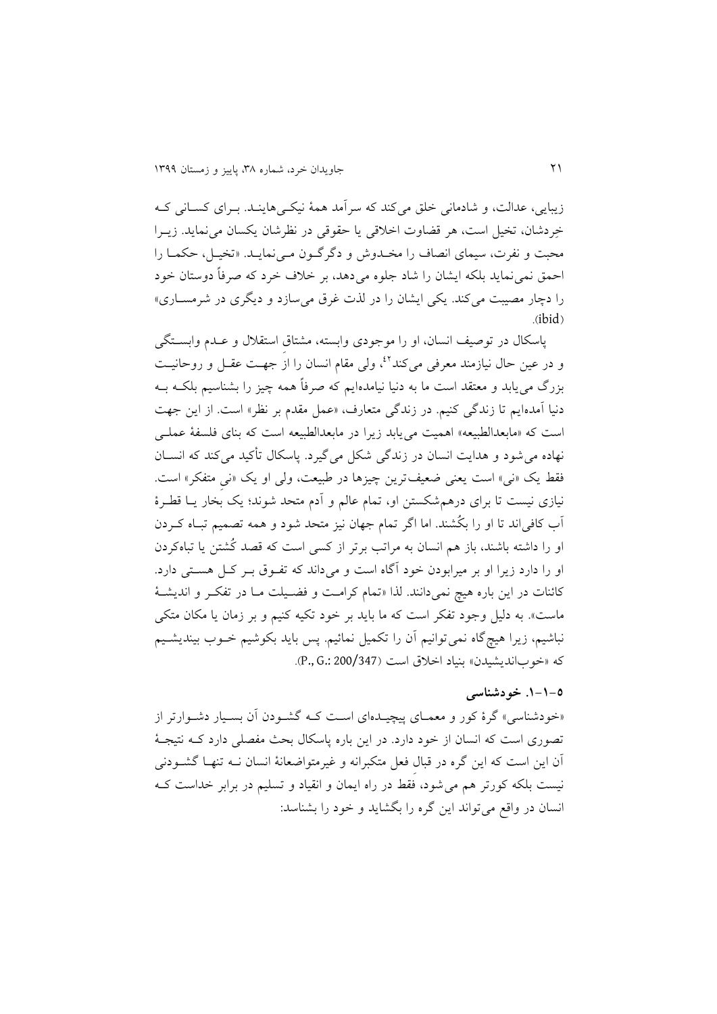زیبایی، عدالت، و شادمانی خلق میکند که سرآمد همهٔ نیکسی هاینـد. بـرای کســانی کـه خِردشان، تخیل است، هر قضاوت اخلاقی یا حقوقی در نظرشان یکسان می نماید. زیبرا محبت و نفرت، سیمای انصاف را مخـدوش و دگرگـون مـیiمایـد. «تخیـل، حکمـا را احمق نمی نماید بلکه ایشان را شاد جلوه میدهد، بر خلاف خرد که صرفاً دوستان خود را دچار مصیبت میکند. یکی ایشان را در لذت غرق می سازد و دیگری در شرمســاری»  $(ibid)$ 

پاسکال در توصیف انسان، او را موجودی وابسته، مشتاق استقلال و عـدم وابسـتگی و در عین حال نیازمند معرفی می کند<sup>21</sup>، ولی مقام انسان را از جهـت عقــل و روحانیــت بزرگ مییابد و میتقد است ما به دنیا نیامدهایم که صرفاً ومه ییز را بشناسیم بلکیه بیه دنیا آمدهایم تا زندگی کنیم. در زندگی متعارف، «عمل مقدم بر نظر» است. از این جهت است که «مابعدالطبیعه» اهمیت می یابد زیرا در مابعدالطبیعه است که بنای فلسفهٔ عملی نداده میشود و ودایت انسان در زندگی شکل میگیرد. پاسکال تأکید میکند که انسیان فقط یک «نی» است یعنی ضعیفترین چیزها در طبیعت، ولی او یک «نی متفکر» است. نیازی نیست تا برای درهمشکستن او، تمام عالم و آدم متحد شوند؛ یک بخار یــا قطـرهٔ نب کافیاند تا او را بکُشند. اما اگر تمام جدان نیز متحد شود و ومه تصمیم تبیاه کیردن او را داشته باشند، باز هم انسان به مراتب برتر از کسی است که قصد کُشتن یا تباهکردن او را دارد زیرا او بر میرابودن خود آگاه است و می داند که تفوق به کل هستی دارد. کائنات در این باره هیچ نمیدانند. لذا «تمام کرامت و فضیلت ما در تفکر و اندیشهٔ ماست». به دلیل وجود تفکر است که ما باید بر خود تکیه کنیم و بر زمان یا مکان متکی نباشیم، زیرا هیچگاه نمیتوانیم آن را تکمیل نمائیم. پس باید بکوشیم خــوب بیندیشــیم که «خوباندیشیدن» بنیاد اخلاق است (200/347.P., G.: 200/347)

## **.9-9-5 خودشناسی**

«خودشناسی» گرهٔ کور و معمـای پیچیـدهای اسـت کـه گشـودن آن بسـیار دشـوارتر از تصوری است که انسان از خود دارد. در این باره پاسکال بحث مفصلی دارد کـه نتیجـهٔ نن این است که این گره در قبالِ فیل متکبرانه و غیرمتواضیانة انسان نیه تندیا گشیودنی نیست بلکه کورتر هم می شود، فقط در راه ایمان و انقیاد و تسلیم در برابر خداست ک انسان در واقع میتواند این گره را بگشاید و خود را بشناسد: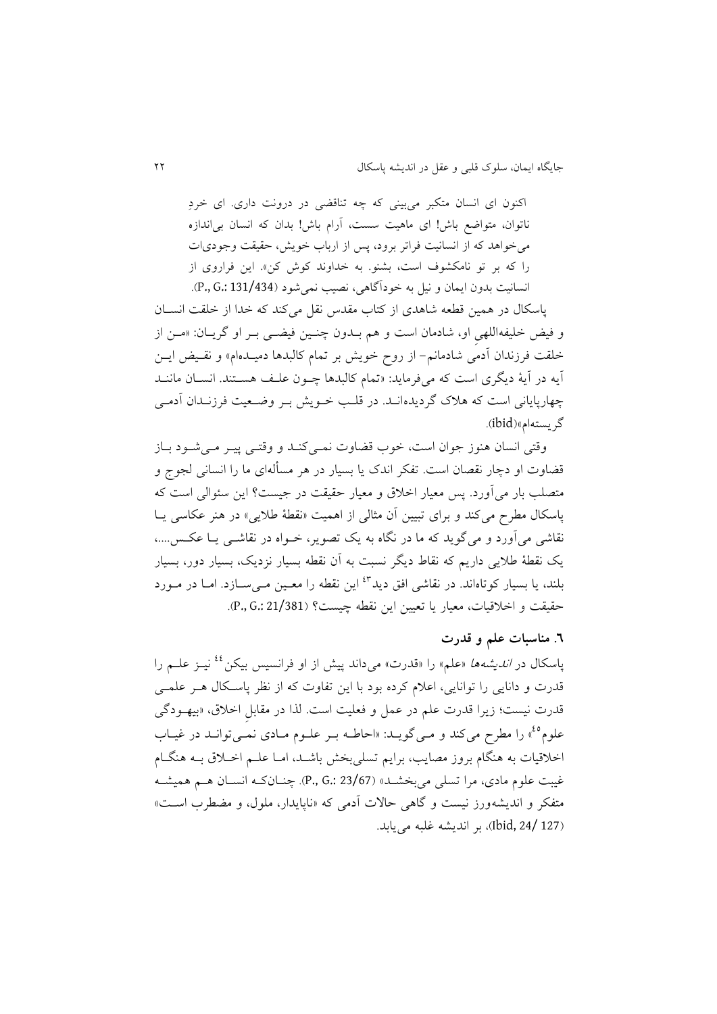اکنون ای انسان متکبر میبینی که چه تناقضی در درونت داری. ای خردِ ناتوان، متواضع باش! ای ماهیت سست، آرام باش! بدان که انسان بی اندازه می خواهد که از انسانیت فراتر برود، پس از ارباب خویش، حقیقت وجودیات را که بر تو نامکشوف است، بشنو. به خداوند کوش کن». این فراروی از انسانیت بدون ایمان و نیل به خودنگاوی، نصیب نمیشود )131/434 .:G .,P).

پاسکال در همین قطعه شاهدی از کتاب مقدس نقل میکند که خدا از خلقت انسـان و فیض خلیفهاللهی او، شادمان است و هم بـدون چنـین فیضـی بـر او گریـان: «مـن از خلقت فرزندان آدمی شادمانم- از روح خویش بر تمام کالبدها دمیـدهام» و نقـیض ایــن نیه در نیة دیگر است که میفرماید: »تمام کالبدوا ییون علیف وسیتند. انسیان ماننید یدارپایانی است که والک گردیدهانید. در قلیب خیویش بیر وضیییت فرزنیدان ندمیی گریستهام«)ibid).

وقتی انسان هنوز جوان است، خوب قضاوت نمیی کند و وقتیی پییر می شود بیاز قضاوت او دچار نقصان است. تفکر اندک یا بسیار در هر مسألهای ما را انسانی لجوج و متصلب بار می آورد. پس معیار اخلاق و معیار حقیقت در جیست؟ این سئوالی است که پاسکال مطرح میکند و برای تبیین آن مثالی از اهمیت «نقطهٔ طلایی» در هنر عکاسی یـا نقاشی می آورد و می گوید که ما در نگاه به یک تصویر، خــواه در نقاشــی یــا عکــس....، یک نقطة طالیی داریم که نقاط دیگر نسبت به نن نقطه بسیار نزدیک، بسیار دور، بسیار بلند، یا بسیار کوتاهاند. در نقاشی افق دید<sup>4۲</sup> این نقطه را معـین مـیسـازد. امـا در مـورد حقیقت و اخلاقیات، معیار یا تعیین این نقطه چیست؟ (P., G.: 21/381).

## **.6 مناسبات علم و قدرت**

یاسکال در *اندیشهها* «علم» را «قدرت» میداند پیش از او فرانسیس بیکن <sup>٤٤</sup> نیــز علــم را قدرت و دانایی را توانایی، اعلام کرده بود با این تفاوت که از نظر پاسکال هـر علمـی قدرت نیست؛ زیرا قدرت علم در عمل و فعلیت است. لذا در مقابل اخلاق، «بیهـودگی علوم <sup>40</sup>» را مطرح می کند و مـی گویـد: «احاطـه بـر علـوم مـادی نمـیتوانـد در غیـاب اخلاقیات به هنگام بروز مصایب، برایم تسلی بخش باشـد، امـا علــم اخــلاق بــه هنگــام غیبت علوم مادی، مرا تسلی میبخشـد» (23/67 .P., G.: چنــانکـه انســان هــم همیشــه متفکر و اندیشهورز نیست و گاهی حالات آدمی که «ناپایدار، ملول، و مضطرب است» )127 24/ ,Ibid)، بر اندیشه غلبه مییابد.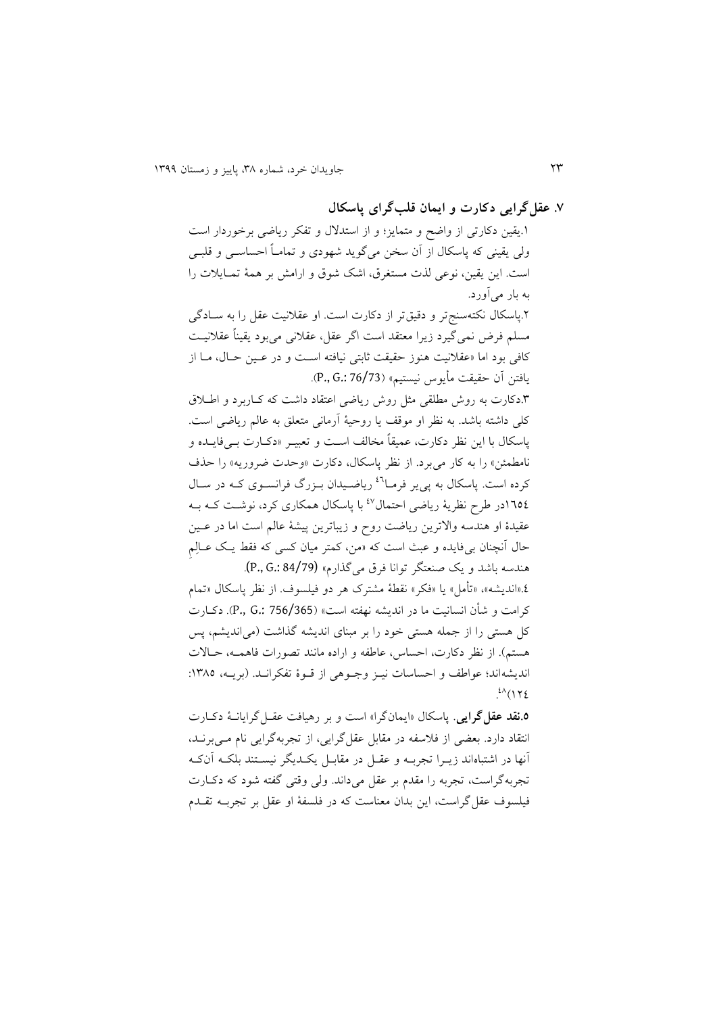**.7 عقلگرایی دکارت و ایمان قلبگرای پاسکال**

۱.یقین دکارتی از واضح و متمایز؛ و از استدلال و تفکر ریاضی برخوردار است ولی یقینی که پاسکال از آن سخن میگوید شهودی و تمامـاً احساســی و قلبــی است. این یقین، نوعی لذت مستغرق، اشک شوق و ارامش بر همهٔ تمـایلات را به بار میأورد. .5پاسکال نکتهسنج تر و دقیق تر از دکارت است. او عقلانیت عقل را به سادگی مسلم فرض نمیگیرد زیرا میتقد است اگر عقل، عقالنی میبود یقیناً عقالنییت کافی بود اما «عقلانیت هنوز حقیقت ثابتی نیافته است و در عـین حـال، مـا از یافتن نن ققیقت مأیو نیستیم« )76/73 .:G .,P).

.8دکار به روش مطلقی مثل روش ریاضی اعتقاد داشت که کیاربرد و اطیالق کلی داشته باشد. به نظر او موقف یا روقیة نرمانی متیلق به عالم ریاضی است. پاسکال با این نظر دکارت، عمیقاً مخالف است و تعبیــر «دکــارت بـــ فایــده و نامطمئن» را به کار می برد. از نظر پاسکال، دکارت «وحدت ضروریه» را حذف کرده است. پاسکال به پی یر فرما<sup>۶۱</sup> ریاضیدان بـزرگ فرانسـوی کـه در سـال ۱٦٥٤در طرح نظریهٔ ریاضی احتمال<sup>٤٧</sup> با پاسکال همکاری کرد، نوشت کـه بـه عقیدهٔ او هندسه والاترین ریاضت روح و زیباترین پیشهٔ عالم است اما در عـین حال آنچنان بی فایده و عبث است که «من، کمتر میان کسی که فقط یک عـالِمِ هندسه باشد و یک صنعتگر توانا فرق میگذارم» (84/79 .p., G.: 84/79).

.1»اندیشه«، »تأمل« یا »فکر« نقطة مشترک ور دو فیلسوت. از نظر پاسکال »تمام کرامت و شأن انسانیت ما در اندیشه نداته است« )756/365 .:G .,P). دکیار کل هستی را از جمله هستی خود را بر مبنای اندیشه گذاشت (میاندیشم، پس هستم). از نظر دکارت، احساس، عاطفه و اراده مانند تصورات فاهمـه، حـالات اندیشهاند؛ عواطف و احساسات نییز وجیوهی از قیوهٔ تفکرانید. (برییه، ۱۳۸۵:  $.$ <sup>21</sup> (122)

**.5نقد عقلگرایی**. پاسکال »ایمانگرا« است و بر رویافت عقیل گرایانیة دکیار انتقاد دارد. بیضی از فالساه در مقابل عقلگرایی، از تجربهگرایی نام میی برنید، نندا در اشتباهاند زییرا تجربیه و عقیل در مقابیل یکیدیگر نیسیتند بلکیه نن کیه تجربهگراست، تجربه را مقدم بر عقل میداند. ولی وقتی گاته شود که دکیار فیلسوت عقلگراست، این بدان میناست که در فلساة او عقل بر تجربیه تقیدم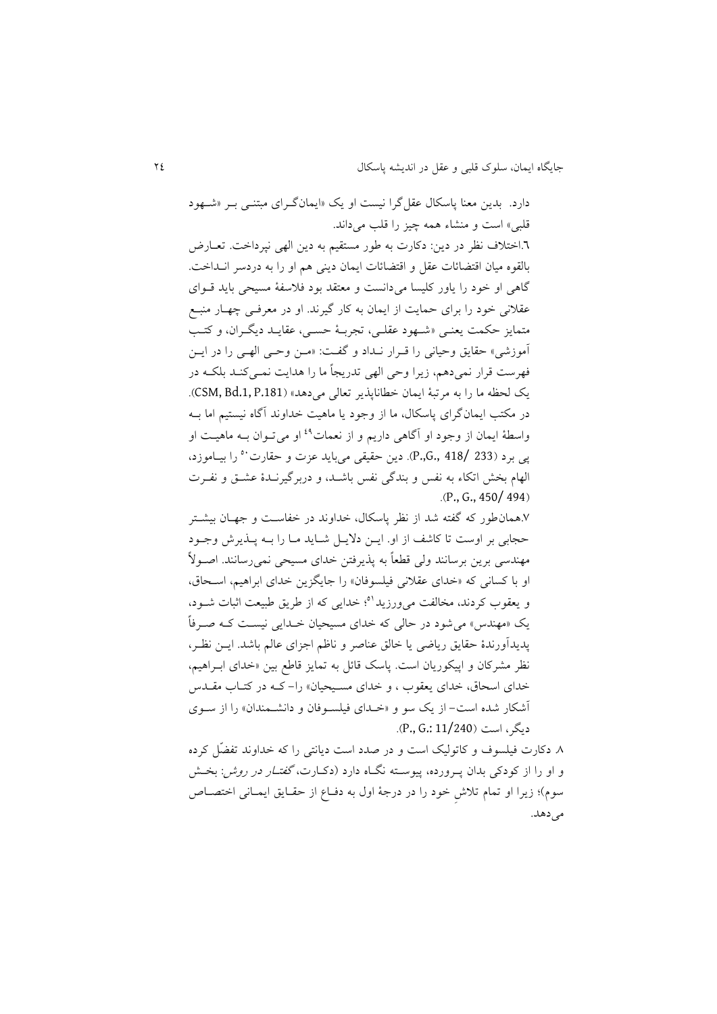دارد. بدین معنا پاسکال عقل گرا نیست او یک «ایمانگرای مبتنـی بـر «شـهود قلبی» است و منشاء همه چیز را قلب می داند. .6اختالت نظر در دین: دکار به طور مستقیم به دین الدی نپرداخت. تییارض بالقوه میان اقتضائات عقل و اقتضائات ایمان دینی هم او را به دردسر انــداخت. گاهی او خود را یاور کلیسا میدانست و معتقد بود فلاسفهٔ مسیحی باید قـوای عقلانی خود را برای حمایت از ایمان به کار گیرند. او در معرفـی چهـار منبـع متمایز قکمت یینیی »شیدود عقلیی، تجربیة قسیی، عقایید دیگیران، و کتیب نموزشی« ققایق وقیانی را قیرار نیداد و گایت: »مین وقیی الدیی را در ایین فدرست قرار نمیدوم، زیرا وقی الدی تدریجاً ما را ودایت نمیی کنید بلکیه در یک لحظه ما را به مرتبة ایمان خطاناپذیر تیالی میدود« ).181P .1,Bd ,CSM). در مکتب ایمانگرای پاسکال، ما از وجود یا ماهیت خداوند آگاه نیستیم اما بــه واسطهٔ ایمان از وجود او آگاهی داریم و از نعمات<sup>٤٩</sup> او می تـوان بـه ماهیـت او را بییاموزد، <sup>21</sup> پی برد )233 418/ .,G.,P). دین ققیقی میباید عز و ققار الهام بخش اتکاء به نفس و بندگی نفس باشـد، و دربرگیرنـدهٔ عشـق و نفـرت  $(P_{1}, G_{1}, 450/494)$ 

.7ومانطور که گاته شد از نظر پاسکال، خداوند در خااسیت و جدیان بیشیتر قجابی بر اوست تا کاشف از او. ایین د ییل شیاید میا را بیه پیذیرش وجیود مهندسی برین برسانند ولی قطعاً به پذیرفتن خدای مسیحی نمیرسانند. اصـولاً او با کسانی که «خدای عقلانی فیلسوفان» را جایگزین خدای ابراهیم، استحاق، و یعقوب کردند، مخالفت می ورزید<sup>۵۱</sup>؛ خدایی که از طریق طبیعت اثبات شــود، یک «مهندس» می شود در حالی که خدای مسیحیان خـدایی نیسـت کـه صـرفاً یدیدآورندهٔ حقایق ریاضی یا خالق عناصر و ناظم اجزای عالم باشد. ایــن نظـر، نظر مشرکان و اپیکوریان است. پاسک قائل به تمایز قاطع بین «خدای ابـراهیم، خدای اسحاق، خدای یعقوب ، و خدای مسیحیان» را- کـه در کتـاب مقــدس آشکار شده است- از یک سو و «خیدای فیلسوفان و دانشمندان» را از سوی دیگر، است (P., G.: 11/240).

.3 دکار فیلسوت و کاتولیک است و در صدد است دیانتی را که خداوند تاضِّل کرده و او را از کودکی بدان په ورده، پیوسته نگاه دارد (دکیارت، *گفتیار در روش* : بخش سوم)؛ زیرا او تمام تلاش خود را در درجهٔ اول به دفیاع از حقیایق ایمیانی اختصاص می دهد.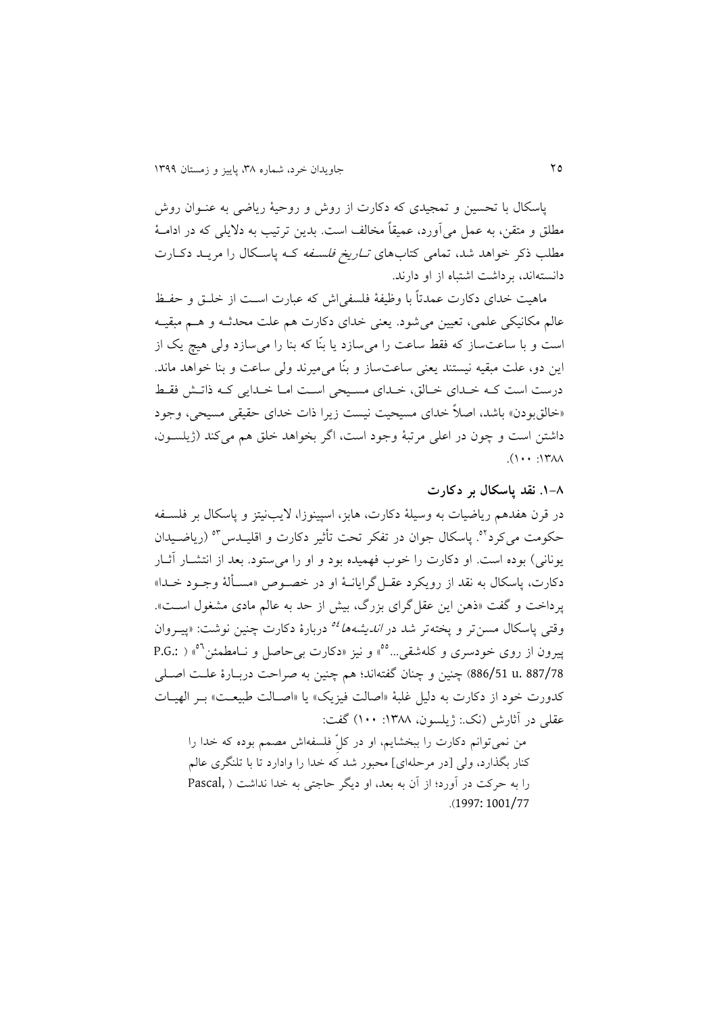پاسکال با تحسین و تمجیدی که دکارت از روش و روحیهٔ ریاضی به عنـوان روش مطلق و متقن، به عمل می آورد، عمیقاً مخالف است. بدین ترتیب به دلایلی که در ادامـهٔ مطلب ذکر خواهد شد، تمامی کتابهای *تـاریخ فلسـفه* کـه پاسـکال را مریــد دکـارت دانستهاند، برداشت اشتباه از او دارند.

ماهیت خدای دکارت عمدتاً با وظیفهٔ فلسفی اش که عبارت است از خلـق و حفـظ عالم مکانیکی علمی، تعیین می شود. یعنی خدای دکارت هم علت محدثـه و هــم مبقیــه است و با ساعتساز که فقط ساعت را میسازد یا بنِّا که بنا را میسازد ولی ویچ یک از این دو، علت مبقیه نیستند یینی ساعتساز و بنِّا میمیرند ولی ساعت و بنا خواود ماند. درست است ک) خیدای خیالق، خیدای مسیحی است امیا خیدایی کیه ذاتیش فقیط «خالقبودن» باشد، اصلاً خدای مسیحیت نیست زیرا ذات خدای حقیقی مسیحی، وجود داشتن است و چون در اعلی مرتبهٔ وجود است، اگر بخواهد خلق هم می کند (ژیلسـون،  $(1 \cdots 1)$ M $\wedge$ 

**.9-3 نقد پاسکال بر دکارت**

در قرن هفدهم ریاضیات به وسیلهٔ دکارت، هابز، اسپینوزا، لایبنیتز و پاسکال بر فلسـفه حکومت میکرد<sup>۹۲</sup>. پاسکال جوان در تفکر تحت تأثیر دکارت و اقلیــدس<sup>۵۳</sup> (ریاضــیدان یونانی) بوده است. او دکارت را خوب فهمیده بود و او را می ستود. بعد از انتشـار آثـار دکار ، پاسکال به نقد از رویکرد عقیل گرایانیة او در خصیوص »مسیألة وجیود خیدا « پرداخت و گفت «ذهن این عقل گرای بزرگ، بیش از حد به عالم مادی مشغول است». وقتی پاسکال مسن<sub>ت</sub>تر و پختهتر شد در *اندیشهها <sup>وه</sup> د*ربارهٔ دکارت چنین نوشت: «پیــروان ییرون از روی خودسری و کلهشقی...°°» و نیز «دکارت بی حاصل و نـامطمئن <sup>۵</sup>″ ( .P.G 887/78 .u 886/51 )ینین و ینان گاتهاند؛ وم ینین به صراقت دربیارة علیت اصیلی کدورت خود از دکارت به دلیل غلبهٔ «اصالت فیزیک» یا «اصـالت طبیعـت» بـر الهیـات عقلی در آثارش (نک: ژیلسون، ۱۳۸۸: ۱۰۰) گفت:

من نمی توانم دکارت را ببخشایم، او در کلِّ فلسفهاش مصمم بوده که خدا را کنار بگذارد، ولی [در مرحلهای] محبور شد که خدا را وادارد تا با تلنگری عالم را به حرکت در آورد؛ از آن به بعد، او دیگر حاجتی به خدا نداشت ( ,Pascal .)1997: 1001/77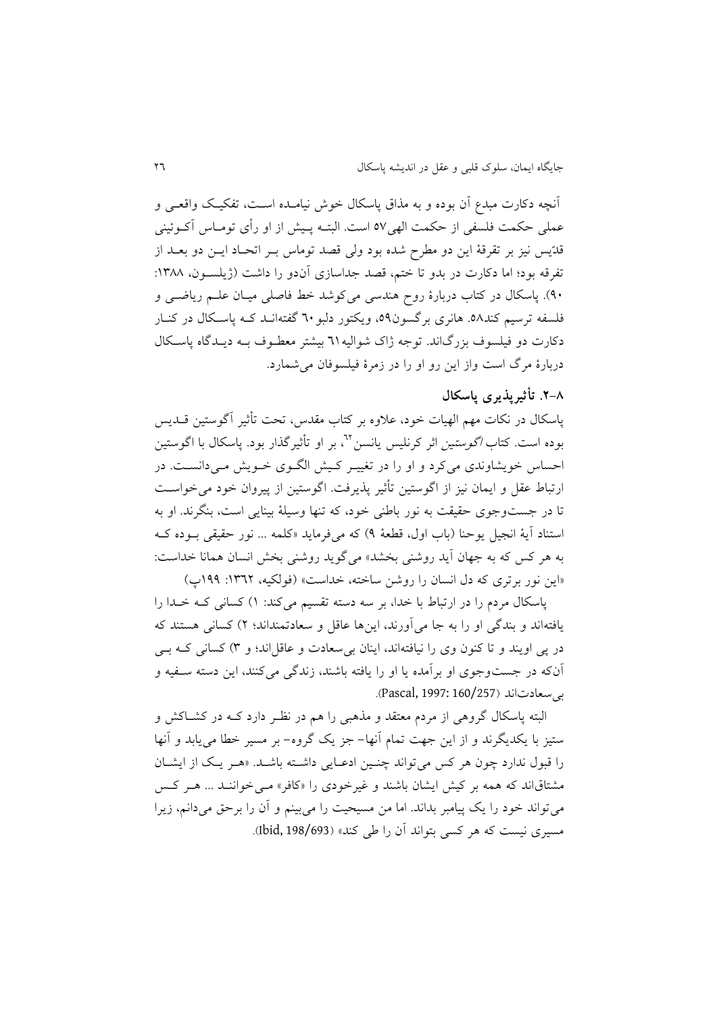آنچه دکارت مبدع آن بوده و به مذاق پاسکال خوش نیامـده اسـت، تفکیـک واقعـی و عملی حکمت فلسفی از حکمت الهی٥٧ است. البتـه پـیش از او رأی تومـاس آکـوئینی قدّیس نیز بر تقرقهٔ این دو مطرح شده بود ولی قصد توماس بـر اتحـاد ایــن دو بعــد از تفرقه بود؛ اما دکارت در بدو تا ختم، قصد جداسازی آندو را داشت (ژیلسـون، ۱۳۸۸: ۹۰). پاسکال در کتاب دربارهٔ روح هندسی میکوشد خط فاصلی میـان علـم ریاضـی و فلسفه ترسیم کند.٥٩ هانری برگسون٥٩، ویکتور دلبو٦٠ گفتهانید کیه پاسکال در کنیار دکارت دو فیلسوف بزرگاند. توجه ژاک شوالیه71 بیشتر معطـوف بــه دیــدگاه پاسـکال دربارة مرگ است واز این رو او را در زمرة فیلسوفان میشمارد.

# **.2-3 تأثیرپذیری پاسکال**

پاسکال در نکات مهم الهیات خود، علاوه بر کتاب مقدس، تحت تأثیر آگوستین قــدیس بوده است. کتاب *اگوستین* اثر کرنلیس پانسن<sup>۲۲</sup>، بر او تأثیرگذار بود. پاسکال با اگوستین احساس خویشاوندی میکرد و او را در تغییـر کـیش الگـوی خـویش مـیدانسـت. در ارتباط عقل و ایمان نیز از اگوستین تأییر پذیرفت. اگوستین از پیروان خود میخواسیت تا در جستوجوی حقیقت به نور باطنی خود، که تنها وسیلهٔ بینایی است، بنگرند. او به استناد أيهٔ انجيل یوحنا (باب اول، قطعهٔ ۹) که میفرماید «کلمه ... نور حقیقی بـوده کـه به هر کس که به جهان آید روشنی بخشد» میگوید روشنی بخش انسان همانا خداست: «این نور برتری که دل انسان را روشن ساخته، خداست» (فولکیه، ١٣٦٢: ١٩٩)

پاسکال مردم را در ارتباط با خدا، بر سه دسته تقسیم میکند: 9( کسانی کیه خیدا را یافتهاند و بندگی او را به جا می آورند، اینها عاقل و سعادتمنداند؛ ۲) کسانی هستند که در پی اویند و تا کنون وی را نیافتهاند، اینان بی سعادت و عاقل اند؛ و ۳) کسانی ک) بی آنکه در جستوجوی او برآمده یا او را یافته باشند، زندگی میکنند، این دسته سـفیه و بی سعادت اند (257/160/257).

البته پاسکال گرووی از مردم میتقد و مذوبی را وم در نظیر دارد کیه در کشیاکش و ستیز با یکدیگرند و از این جدت تمام نندا- جز یک گروه- بر مسیر خطا مییابد و نندا را قبول ندارد چون هر کس می تواند چنین ادعایی داشته باشد. «هـر یـک از ایشـان مشتاقاند که همه بر کیش ایشان باشند و غیرخودی را «کافر» می خواننید ... هیر کیس میتواند خود را یک پیامبر بداند. اما من مسیحیت را میبینم و نن را برقق میدانم، زیرا مسیری نیست که هر کسی بتواند آن را طی کند» (198/693، Ibid, 198/693).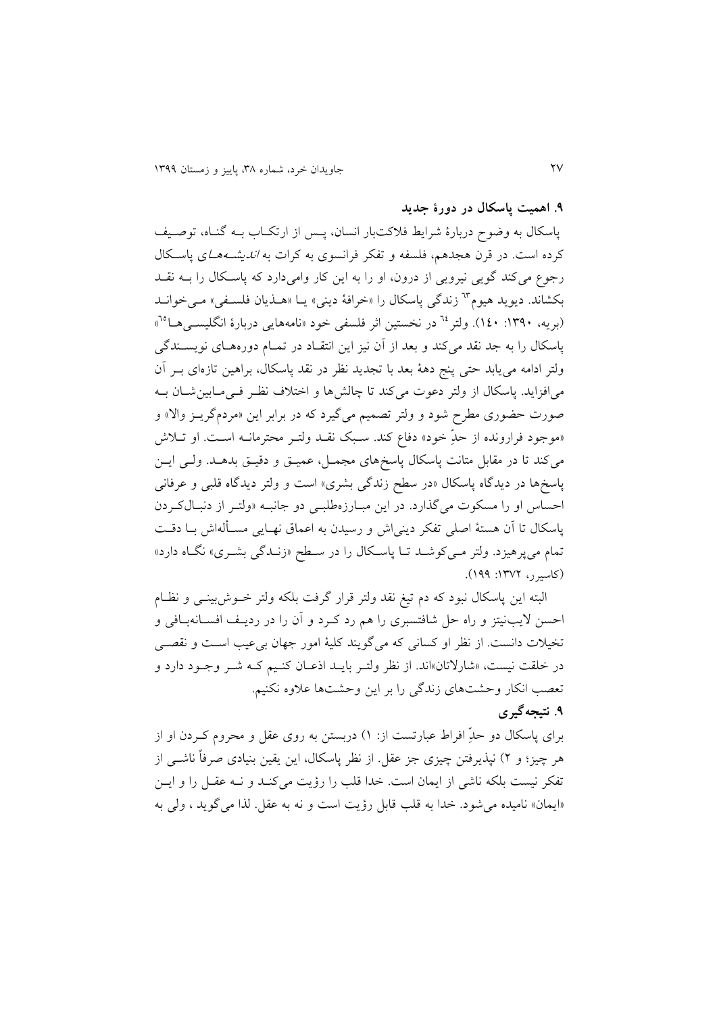### **.1 اهمیت پاسکال در دورة جدید**

پاسکال به وضوح دربارة شرایط فالکتبار انسان، پیس از ارتکیاب بیه گنیاه، توصییف کرده است. در قرن هجدهم، فلسفه و تفکر فرانسوی به کرات به *اندیشـههـا*ی یاسـکال رجوع میکند گویی نیرویی از درون، او را به این کار وامیدارد که پاسیکال را بیه نقید بکشاند. دیوید هیوم<sup>٦٣</sup> زندگی پاسکال را «خرافهٔ دینی» یـا «هـذیان فلسـفی» مـیخوانـد (بریه، ۱۳۹۰: ۱٤۰). ولتر <sup>٦٤</sup> در نخستین اثر فلسفی خود «نامههایی دربارهٔ انگلیســیهــا<sup>70</sup>» پاسکال را به جد نقد می کند و بعد از آن نیز این انتقیاد در تمیام دورههیای نویسیندگی ولتر ادامه می یابد حتی پنج دههٔ بعد با تجدید نظر در نقد پاسکال، براهین تازهای بـر آن میافزاید. پاسکال از ولتر دعوت میکند تا چالشها و اختلاف نظر فی مابین شان ب صورت حضوری مطرح شود و ولتر تصمیم میگیرد که در برابر این «مردمگریـز والا» و «موجود فرارونده از حدِّ خود» دفاع کند. سـبک نقــد ولتــر محترمانــه اســت. او تــلاش میکند تا در مقابل متانت پاسکال پاسخهای مجمـل، عمیـق و دقیـق بدهــد. ولـی ایــن پاسخها در دیدگاه پاسکال «در سطح زندگی بشری» است و ولتر دیدگاه قلبی و عرفانی احساس او را مسکوت میگذارد. در این مبارزهطلبی دو جانبه «ولت از دنبال کردن پاسکال تا اَن هستهٔ اصلی تفکر دینی اش و رسیدن به اعماق نهـایی مسـألهاش بـا دقـت تمام می پرهیزد. ولتر می کوشید تیا پاسکال را در سیطح «زنیدگی بشیری» نگیاه دارد» )کاسیرر، :9875 911(.

البته این پاسکال نبود که دم تیغ نقد ولتر قرار گرفت بلکه ولتر خـوش!بینـی و نظـام احسن لایبنیتز و راه حل شافتسبری را هم رد کـرد و آن را در ردیـف افســانهبـافی و تخیلات دانست. از نظر او کسانی که میگویند کلیهٔ امور جهان بیءیب اسـت و نقصـی در خلقت نیست، »شار تان«اند. از نظر ولتیر بایید اذعیان کنییم کیه شیر وجیود دارد و تعصب انکار وحشتهای زندگی را بر این وحشتها علاوه نکنیم.

## **.1 نتیجهگیری**

برای پاسکال دو حدِّ افراط عبارتست از: ۱) دربستن به روی عقل و محروم کـردن او از هر چیز؛ و ۲) نپذیرفتن چیزی جز عقل. از نظر پاسکال، این یقین بنیادی صرفاً ناشبی از تفکر نیست بلکه ناشی از ایمان است. خدا قلب را رؤیت میکنید و نیه عقیل را و ایین «ایمان» نامیده می شود. خدا به قلب قابل رؤیت است و نه به عقل. لذا می گوید ، ولی به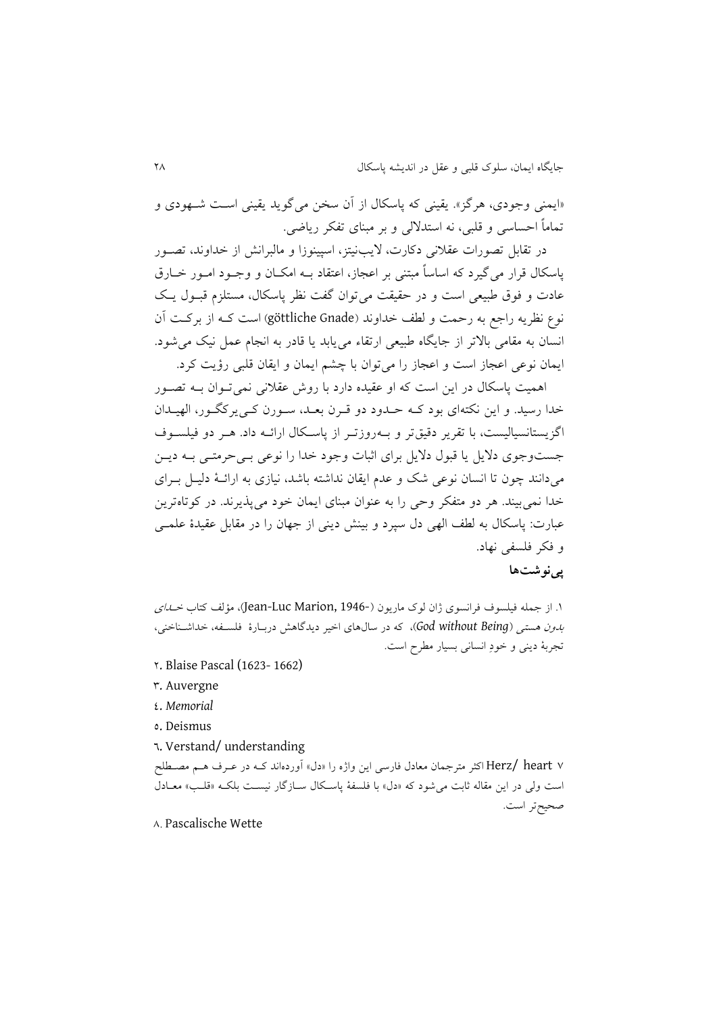«ایمنی وجودی، هرگز». یقینی که پاسکال از آن سخن می گوید یقینی است شیهودی و تماماً احساسی و قلبی، نه استدلالی و بر مبنای تفکر ریاضی.

در تقابل تصورات عقلانی دکارت، لایبنیتز، اسپینوزا و مالبرانش از خداوند، تصـور پاسکال قرار میگیرد که اساساً مبتنی بر اعجاز، اعتقاد بیه امکیان و وجیود امیور خیارق عادت و فوق طبیعی است و در حقیقت می توان گفت نظر پاسکال، مستلزم قبـول یـک نوع نظریه راجع به رحمت و لطف خداوند (göttliche Gnade) است کـه از برکـت آن انسان به مقامی بالاتر از جایگاه طبیعی ارتقاء می یابد یا قادر به انجام عمل نیک می شود. ایمان نوعی اعجاز است و اعجاز را میتوان با یشم ایمان و ایقان قلبی رؤیت کرد.

اومیت پاسکال در این است که او عقیده دارد با روش عقالنی نمیتیوان بیه تصیور خدا رسید. و این نکتهای بود کـه حـدود دو قـرن بعـد، سـورن کـی یرکگـور، الهیـدان اگزیستانسیالیست، با تقریر دقیقتر و بــهروزتــر از پاســکال ارائــه داد. هــر دو فیلســوف جستوجوی دلایل یا قبول دلایل برای اثبات وجود خدا را نوعی بے حرمتبی بـه دیـن میدانند یون تا انسان نوعی شک و عدم ایقان نداشته باشد، نیاز به ارائیة دلییل بیرا خدا نمی بیند. هر دو متفکر وحی را به عنوان مبنای ایمان خود می پذیرند. در کوتاهترین عبارت: پاسکال به لطف الهی دل سپرد و بینش دینی از جهان را در مقابل عقیدهٔ علمـی و فکر فلسای نداد.

## **پینوشتها**

1. از جمله فیلسوف فرانسوی ژان لوک ماریون (-Jean-Luc Marion, 1946)، مؤلف کتاب *خــدای* بدون وستی )*Being without God*)، که در سالوا اخیر دیدگاوش دربیارة فلسیاه، خداشیناخنی، تجربة دینی و خودِ انسانی بسیار مطرح است.

- 5. Blaise Pascal (1623- 1662)
- 8. Auvergne
- 1. *Memorial*
- 2. Deismus
- 6. Verstand/ understanding

7 heart /Herz اکثر مترجمان میادل فارسی این واژه را »دل« نوردهاند کیه در عیرت ویم مصیطلح است ولی در این مقاله یابت میشود که »دل« با فلساة پاسیکال سیازگار نیسیت بلکیه »قلیب « مییادل صحیحتر است.

### 3. Pascalische Wette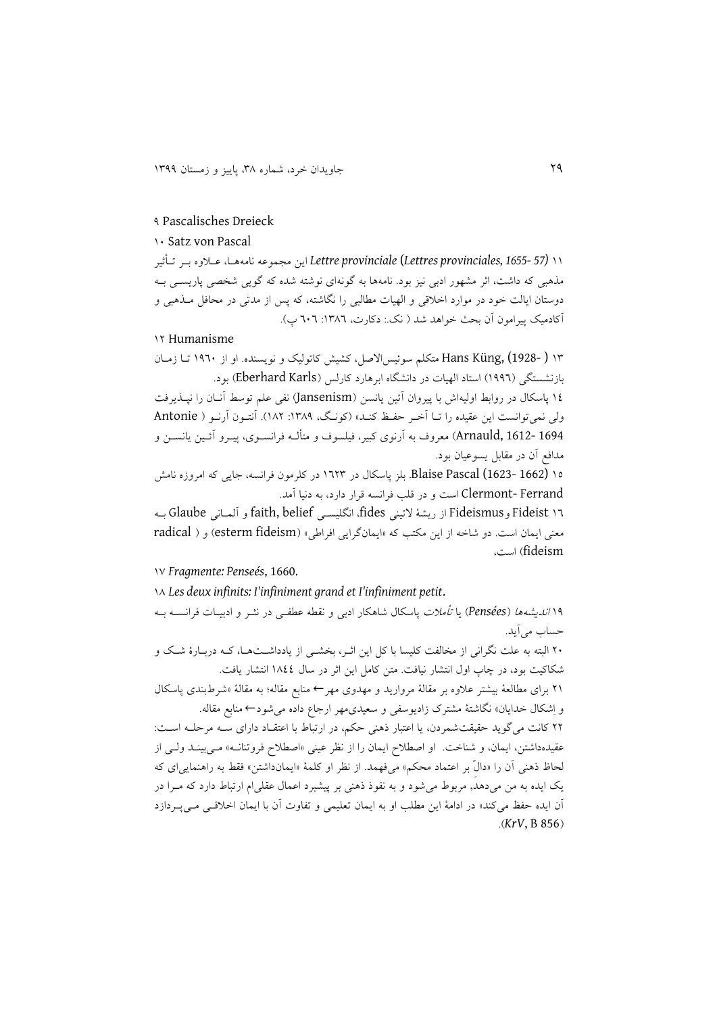#### 1 Pascalisches Dreieck

### 91 Satz von Pascal

99 *(57 1655- ,provinciales Lettres* (*provinciale Lettre* این مجموعه نامهویا، عیالوه بیر تیأییر مذهبی که داشت، اثر مشهور ادبی نیز بود. نامهها به گونهای نوشته شده که گویی شخصی پاریســی بــه دوستان ایالت خود در موارد اخلاقی و الهیات مطالبی را نگاشته، که پس از مدتی در محافل میذهبی و آکادمیک پیرامون آن بحث خواهد شد ( نک.: دکارت، ۱۳۸٦: ٦٠٦ پ).

### 95 Humanisme

98 ( 1928-) ,Küng Hans متکلم سوئیسا صل، کشیش کاتولیک و نویسنده. او از 9161 تیا زمیان بازنشستگی (۱۹۹٦) استاد الهیات در دانشگاه ابرهارد کارلس (Eberhard Karls) بود. 91 پاسکال در روابط اولیهاش با پیروان نئین یانسن )Jansenism )نای علم توسط ننیان را نپیذیرفت ولی نمی توانست این عقیده را تـا آخـر حفـظ کنـد» (کونـگ، ۱۳۸۹: ۱۸۲). آنتـون آرنـو ( Antonie 1694 1612- ,Arnauld )میروت به نرنو کبیر، فیلسوت و متألیه فرانسیو ، پییرو نئیین یانسین و مدافع أن در مقابل یسوعیان بود.

92 (1662 1623-) Pascal Blaise. بلز پاسکال در 9658 در کلرمون فرانسه، جایی که امروزه نامش Ferrand -Clermont است و در قلب فرانسه قرار دارد، به دنیا نمد.

96 Fideist وFideismus از ریشة تینی fides، انگلیسیی belief ,faith و نلمیانی Glaube بیه معنی ایمان است. دو شاخه از این مکتب که «ایمانگرایی افراطی» (esterm fideism) و ( radical fideism )است،

97 *Fragmente: Penseés*, 1660.

93 *Les deux infinits: I'infiniment grand et I'infiniment petit*.

91 اندیشهوا )*Pensées* )یا تأمال پاسکال شاوکار ادبی و نقطه عطایی در نثیر و ادبییا فرانسیه بیه حساب می آید.

51 البته به علت نگرانی از مخالات کلیسا با کل این اییر، بخشیی از یادداشیت ویا، کیه دربیارة شیک و شکاکیت بود، در یاپ اول انتشار نیافت. متن کامل این ایر در سال 9311 انتشار یافت.

59 برا مطالیة بیشتر عالوه بر مقالة مروارید و مددو مدر← منابع مقاله؛ به مقالة »شرطبند پاسکال و اِشکال خدایان» نگاشتهٔ مشترک زادیوسفی و سعیدی.مهر ارجاع داده می شود← منابع مقاله.

٢٢ کانت میگوید حقیقت شمردن، یا اعتبار ذهنی حکم، در ارتباط با اعتقـاد دارای ســه مرحلــه اســت: عقیدهداشتن، ایمان، و شناخت. او اصطالح ایمان را از نظر عینی »اصطالح فروتنانیه « میی بینید ولیی از لحاظ ذهنی اَن را «دالٌ بر اعتماد محکم» میفهمد. از نظر او کلمهٔ «ایمانداشتن» فقط به راهنمایی ای که یک ایده به من می دهد, مربوط می شود و به نفوذ ذهنی بر پیشبرد اعمال عقلی ام ارتباط دارد که مـرا در آن ایده حفظ میکند» در ادامهٔ این مطلب او به ایمان تعلیمی و تفاوت آن با ایمان اخلاقی می پیردازد .)*KrV*, B 856(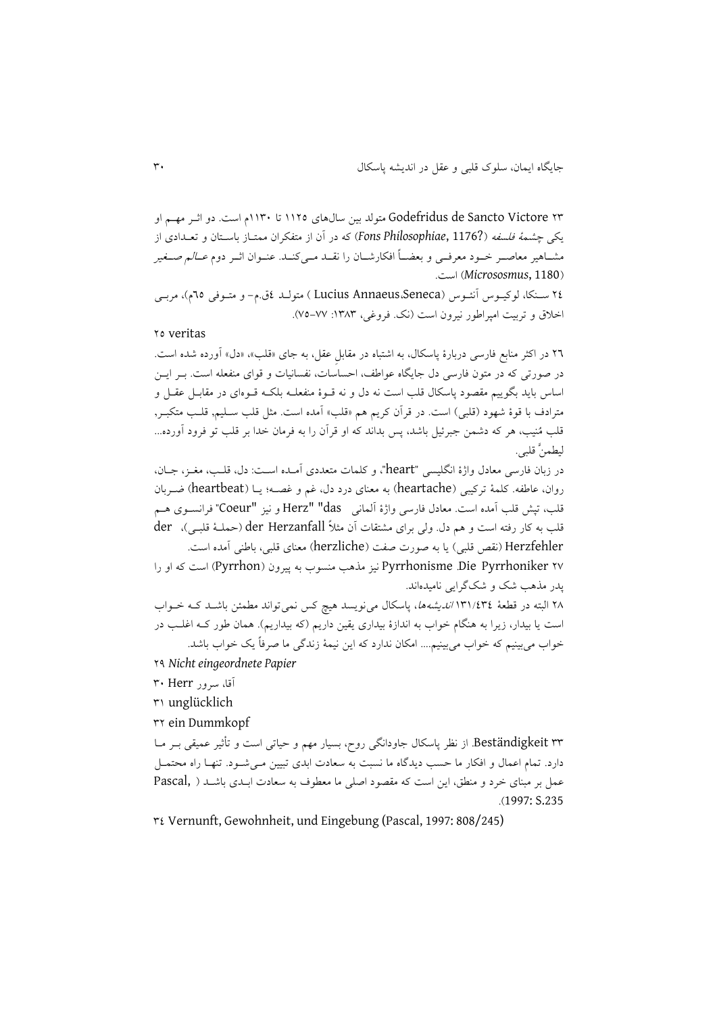58 Victore Sancto de Godefridus متولد بین سالوا 9952 تا 9981م است. دو اییر مدیم او یکی چ*شمهٔ فلسفه (*7176 ,Fons Philosophiae)که در آن از متفکران ممتـاز باســتان و تعــدادی از مشــاهیر معاصــر خــود معرفــی و بعضــاً افکارشــان را نقــد مــی کنــد. عنــوان اثــر دوم *عــالـم صــغیر* )1180 ,*Micrososmus* )است.

51 سینکا، لوکییو ننئیو ) Seneca،Annaeus Lucius ) متولید 1ق.م- و متیوفی 62م(، مربیی اخلاق و تربیت امپراطور نیرون است (نک. فروغی، ۱۳۸۳: ۷۷–۷۵).

#### 52 veritas

56 در اکثر منابع فارسی دربارة پاسکال، به اشتباه در مقابلِ عقل، به جا »قلب«، »دل« نورده شده است. در صورتی که در متون فارسی دل جایگاه عواطف، احساسات، نفسانیات و قوای منفعله است. بـر ایــن اساس باید بگوییم مقصود پاسکال قلب است نه دل و نه قــوهٔ منفعلــه بلکــه قــوهای در مقابــل عقــل و مترادف با قوهٔ شهود (قلبی) است. در قرآن کریم هم «قلب» آمده است. مثل قلب سـلیم, قلـب متکبـر, قلب مُنیب، هر که دشمن جبرئیل باشد، پس بداند که او قرآن را به فرمان خدا بر قلب تو فرود آورده... لیطمنَّ قلبی.

در زبان فارسی معادل واژهٔ انگلیسی "heart"، و کلمات متعددی آمـده اسـت: دل، قلـب، مغــز، جــان، روان، عاطفه. کلمهٔ ترکیبی (heartache) به معنای درد دل، غم و غصــه؛ یــا (heartbeat) ضــربان قلب، تپش قلب اَمده است. معادل فارسی واژهٔ اَلمانی Herz" "das و نیز "Coeur" فرانســوی هــم قلب به کار رفته است و هم دل. ولی برای مشتقات آن مثلاً der Herzanfall (حملـهٔ قلبـی)، der Herzfehler (نقص قلبی) یا به صورت صفت (herzliche) معنای قلبی، باطنی آمده است.

57 Pyrrhoniker Die. Pyrrhonisme نیز مذوب منسوب به پیرون )Pyrrhon )است که او را پدر مذوب شک و شکگرایی نامیدهاند.

۲۸ البته در قطعهٔ ۱۳۱/٤۳٤ *اندیشهها*، پاسکال مینویسد هیچ کس نمیتواند مطمئن باشـد کـه خـواب است یا بیدار، زیرا به هنگام خواب به اندازهٔ بیداری یقین داریم (که بیداریم). همان طور کـه اغلـب در خواب میبینیم که خواب میبینیم.... امکان ندارد که این نیمة زندگی ما صرفاً یک خواب باشد.

51 *Nichteingeordnete Papier*

### نقا، سرور Herr 81

89 unglücklich

85 ein Dummkopf

88 Beständigkeit. از نظر پاسکال جاودانگی روح، بسیار مدم و قیاتی است و تأییر عمیقی بیر میا دارد. تمام اعمال و افکار ما حسب دیدگاه ما نسبت به سعادت ابدی تبیین می شـود. تنهـا راه محتمـل عمل بر مبنای خرد و منطق، این است که مقصود اصلی ما معطوف به سعادت ابلدی باشد ( ,Pascal .)1997: S.235

81 Vernunft, Gewohnheit, und Eingebung (Pascal, 1997: 808/245)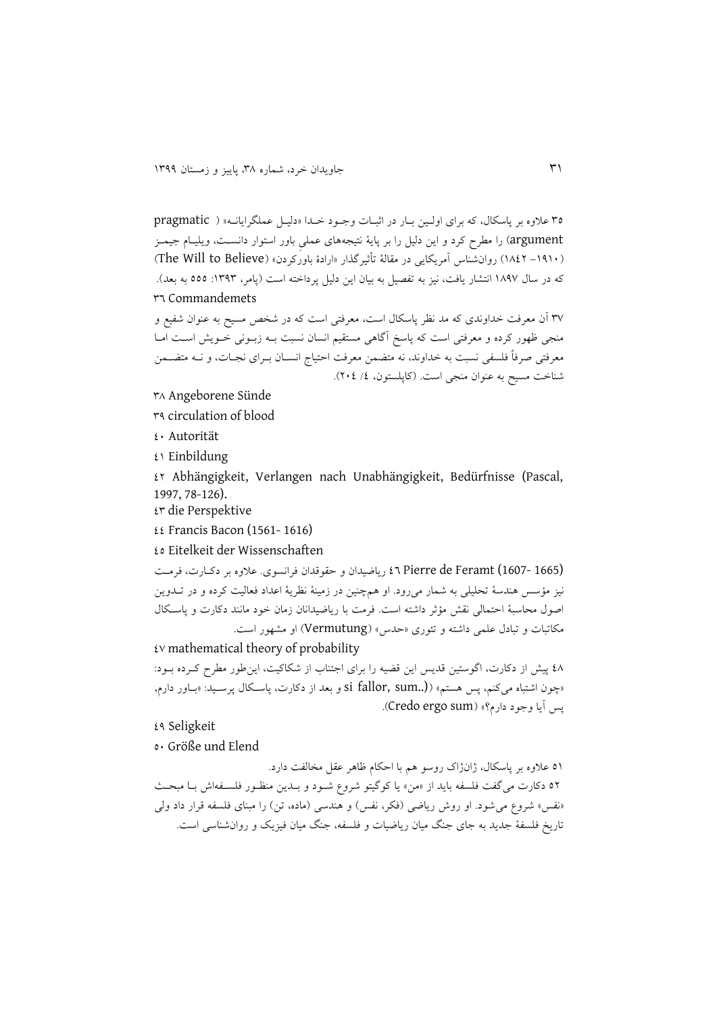82 عالوه بر پاسکال، که برا اولیین بیار در ایبیا وجیود خیدا »دلییل عملگرایانیه » ) pragmatic argument) را مطرح کرد و این دلیل را بر پایهٔ نتیجههای عملی باور استوار دانسـت، ویلیـام جیمـز (۱۹۱۰– ۱۸۶۲) روانشناس آمریکایی در مقالهٔ تأثیرگذار «ارادهٔ باورکردن» (The Will to Believe) که در سال ۱۸۹۷ انتشار یافت، نیز به تفصیل به بیان این دلیل پرداخته است (یامر، ۱۳۹۳: ٥٥٥ به بعد). 86 Commandemets

۳۷ آن معرفت خداوندی که مد نظر پاسکال است، معرفتی است که در شخص مسیح به عنوان شفیع و منجی دور کرده و میرفتی است که پاسخ نگاوی مستقیم انسان نسبت بیه زبیونی خیویش اسیت امیا معرفتی صرفاً فلسفی نسبت به خداوند، نه متضمن معرفت احتیاج انسـان بـرای نجـات، و نــه متضــمن شناخت مسیح به عنوان منجی است. (کاپلستون، ٤/ ٢٠٤).

- 83 Angeborene Sünde
- 81 circulation of blood
- 11 Autorität
- $\mathfrak{t}$  Einbildung

15 Abhängigkeit, Verlangen nach Unabhängigkeit, Bedürfnisse (Pascal, 1997, 78-126).

18 die Perspektive

 $\mathfrak{t}$  Francis Bacon (1561-1616)

12 Eitelkeit der Wissenschaften

(1665 1607-) Feramt de Pierre 16 ریاضیدان و ققوقدان فرانسو . عالوه بر دکیار ، فرمیت نیز مؤسس وندسة تحلیلی به شمار میرود. او ومینین در زمینة نظریة اعداد فیالیت کرده و در تیدوین اصول محاسبهٔ احتمالی نقش مؤثر داشته است. فرمت با ریاضیدانان زمان خود مانند دکارت و پاسکال مکاتبات و تبادل علمی داشته و تئوری «حدس» (Vermutung) او مشهور است.

 $\mathfrak t$  mathematical theory of probability

٤٨ پیش از دکارت، اگوستین قدیس این قضیه را برای اجتناب از شکاکیت، این طور مطرح کـرده بـود: »یون اشتباه میکنم، پس وستم« )(..sum ,fallor si و بید از دکار ، پاسیکال پرسیید: »بیاور دارم, پس آيا وجود دارم؟» (Credo ergo sum).

### 11 Seligkeit

21 Größe und Elend

01 علاوه بر پاسکال، ژانژاک روسو هم با احکام ظاهر عقل مخالفت دارد. ٥٢ دکارت می گفت فلسفه باید از «من» یا کوگیتو شروع شـود و بـدین منظـور فلسـفهاش بـا مبحـث «نفس» شروع می شود. او روش ریاضی (فکر، نفس) و هندسی (ماده، تن) را مبنای فلسفه قرار داد ولی تاریخ فلسفهٔ جدید به جای جنگ میان ریاضیات و فلسفه، جنگ میان فیزیک و روانشناسی است.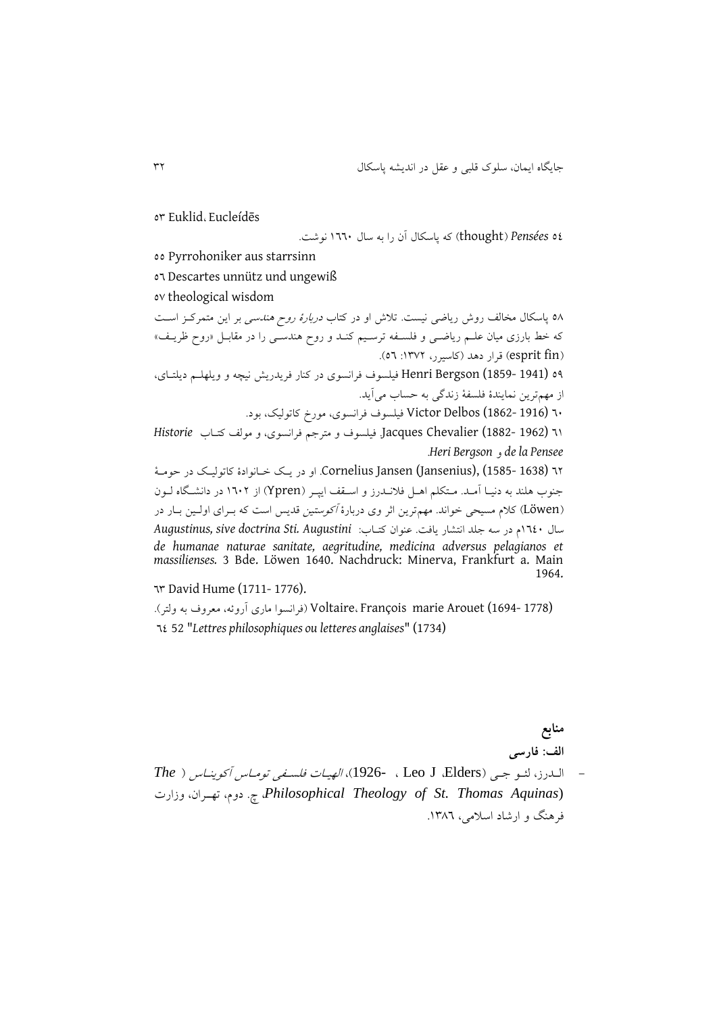or Euklid، Eucleídēs

21 *Pensées*( thought )که پاسکال نن را به سال 9661 نوشت.

22 Pyrrohoniker aus starrsinn

26 Descartes unnütz und ungewiß

27 theological wisdom

0۸ پاسکال مخالف روش ریاضی نیست. تلاش او در کتاب *دربارهٔ روح هندسی* بر این متمرکـز اسـت که خط بارزی میان علـم ریاضـی و فلسـفه ترسـیم کنـد و روح هندسـی را در مقابـل «روح ظریـف» )fin esprit )قرار دود )کاسیرر، :9875 26(. 04 (1941 -1859) Henri Bergson فیلسوف فرانسوی در کنار فریدریش نیچه و ویلهلـم دیلتـای، از مهمترین نمایندهٔ فلسفهٔ زندگی به حساب میآید. 61 (1916 1862-) Delbos Victor فیلسوت فرانسو ، مورخ کاتولیک، بود. 69 (1962 1882-) Chevalier Jacques. فیلسوت و مترجم فرانسو ، و مولف کتیاب *Historie* .*Heri Bergson* و *de la Pensee* 65 (1638 1585-) ,(Jansenius (Jansen Cornelius. او در ییک خیانوادة کاتولییک در قومیة جنوب هلند به دنیـا آمـد. مـتکلم اهـل فلانــدرز و اســقف ایپــر (Ypren) از ۱٦۰۲ در دانشــگاه لــون ([Löwen](https://de.wikipedia.org/wiki/L%C3%B6wen)) کلام مسیحی خواند. مهم ترین اثر وی دربارهٔ *آکوستین* قدیس است که بـرای اولـین بـار در سال 9611م در سه جلد انتشار یافت. عنوان کتیاب: *Augustini .Sti doctrina sive ,Augustinus de humanae naturae sanitate, aegritudine, medicina adversus pelagianos et massilienses.* 3 Bde. Löwen 1640. Nachdruck: Minerva, Frankfurt a. Main 1964.

68 David Hume (1711- 1776).

(1778 -1694) Voltaire، François marie Arouet (فرانسوا ماری آروئه، معروف به ولتر). 61 52 "*Lettres philosophiques ou letteres anglaises*" (1734)

> **منابع الف: فارسی**

- الیدرز، لئیو جیی ) Elders، J Leo ، 1926-)، الدییا فلسیای تومیا نکوینیا ) *The* وزار ،تدییران ،دوم .چ ،*Philosophical Theology of St. Thomas Aquinas*) فرهنگ و ارشاد اسلامی، ۱۳۸٦.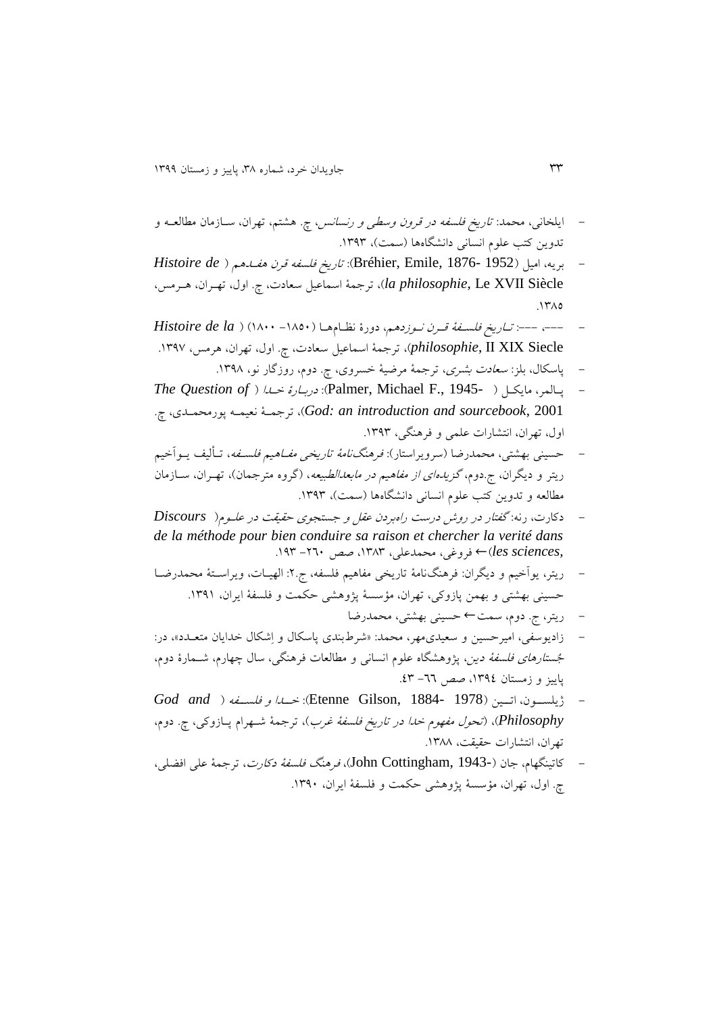- ایلخانی، محمد: ت*اریخ فلسفه در قرون وسطی و رنسانس، چ*. هشتم، تهران، ســازمان مطالعــه و تدوین کتب علوم انسانی دانشگاهها (سمت)، ۱۳۹۳.
- بریه، امیل )1952 1876- ,Emile ,Bréhier): تاریخ فلساه قرن وایدوم ) *de Histoire* l*a philosophie*, Le XVII Siècle، ترجمهٔ اسماعیل سعادت، چ. اول، تهـران، هـرمس،  $17A0$
- ،--- :--- تیاریخ فلسیاة قیرن نیوزدوم ، دورة نظیام ویا ) -9321 9311( ) *la de Histoire* philosophie, II XIX Siecle)، ترجمهٔ اسماعیل سعادت، چ. اول، تهران، هرمس، ۱۳۹۷.
	- پاسکال، بلز: *سعادت بشری،* ترجمهٔ مرضیهٔ خسروی، چ. دوم، روزگار نو، ۱۳۹۸.
- *The Question of* ( خیدا دربیارة :(Palmer, Michael F., 1945- ( مایکیل ،لمر پیا .چ ، پورمحمید نییمیه ترجمیة ،(*God: an introduction and sourcebook*, 2001 اول، تهران، انتشارات علمی و فرهنگی، ۱۳۹۳.
- حسینی بهشتی، محمدرضا (سرویراستار): *فرهنگنامهٔ تاریخی مفــاهیم فلســفه*، تــألیف یــواَخیم ریتر و دیگران، ج.دوم، *گزیدهای از مفاهیم در مابعدالطبیعه*، (گروه مترجمان)، تهـران، ســازمان مطالعه و تدوین کتب علوم انسانی دانشگاهها (سمت)، ۱۳۹۳.
- دکار ، رنه: گاتار در روش درست راهبردن عقل و جستجو ققیقت در علیوم ) *Discours de la méthode pour bien conduire sa raison et chercher la verité dans ,les sciences)← فروغی، محمدعلی، ۱۳۸۳، صص ۲*۶۰− ۱۹۳.
- ریتر، یوأخیم و دیگران: فرهنگنامهٔ تاریخی مفاهیم فلسفه، ج.۲: الهیـات، ویراسـتهٔ محمدرضـا حسینی بهشتی و بهمن پازوکی، تهران، مؤسسهٔ پژوهشی حکمت و فلسفهٔ ایران، ۱۳۹۱.
	- ریتر، ج. دوم، سمت← قسینی بدشتی، محمدرضا
- زادیوسفی، امیرحسین و سعیدی مهر، محمد: «شرطبندی پاسکال و اِشکال خدایان متعـدد»، در: *جُستارهای فلسفهٔ دین*، پژوهشگاه علوم انسانی و مطالعات فرهنگی، سال چهارم، شــمارهٔ دوم،  $15 - 17$  صص -71 - 18.
- ژیلسییون، اتییین ) 1978 1884- ,Gilson Etenne): خییدا و فلسییاه ) *and God Philosophy*)،( تحول مادوم خدا در تاریخ فلساة غرب(، ترجمة شیدرام پیازوکی، چ. دوم، تهران، انتشارات حقیقت، ۱۳۸۸.
- كاتینگهام، جان (-1943 ,John Cottingham)، فرهنگ فلس*فة دكارت*، ترجمة علی افضلی، چ. اول، تهران، مؤسسة پژوهشی حکمت و فلسفهٔ ایران، ۱۳۹۰.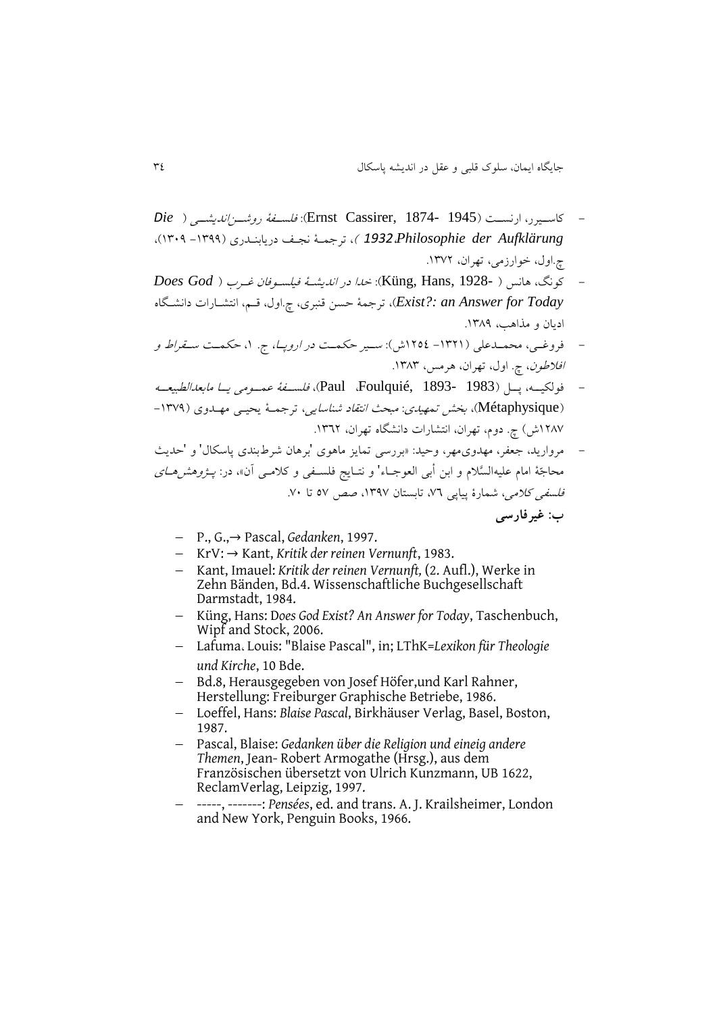- کاسیییرر، ارنسییت )1945 1874- ,Cassirer Ernst): فلسییاة روشییناندیشییی ) *Die Aufklärung der Philosophie1932*،) ، ترجمیة نجیف دریابنیدر )-9811 9811(، چ.اول، خوارزمی، تهران، ۱۳۷۲.
- کونگ، وانس ) 1928- ,Hans ,Küng): خدا در اندیشیة فیلسیوفان غیرب ) *God Does Today for Answer an :?Exist*)، ترجمة قسن قنبر ، چ.اول، قیم، انتشیارا دانشیگاه ادیان و مذاوب، .9831
- فروغییی، محمییدعلی )-9859 9521ش(: سیییر قکمییت در اروپیا، ج. ،9 قکمییت سییقراط و افلاطون، چ. اول، تهران، هرمس، ١٣٨٣.
- فولکیییه، پییل ) 1983 1893- ,Foulquié، Paul)، فلسییاة عمییومی یییا مابیدالطبییییه (Métaphysique)، بخش تم*هیدی: مبحث انتقاد شناسایی*، ترجمیهٔ یحیلی مهلدوی (۱۳۷۹-۱۲۸۷ش) چ. دوم، تهران، انتشارات دانشگاه تهران، ۱۳٦۲.
- مروارید، جعفر، مهدوی.مهر، وحید: «بررسی تمایز ماهوی 'برهان شرطبندی پاسکال' و 'حدیث محاجّة امام علیهالسَّلام و ابن أبی العوجـاء' و نتـایج فلسـفی و کلامـی آن»، در: *پــژوهش هــای* فلس*فی کلامی،* شمارهٔ پیاپی ۷۲، تابستان ۱۳۹۷، صص ۵۷ تا ۷۰. **ب: غیرفارسی**
	- P., G.,→ Pascal, *Gedanken*, 1997.
	- KrV: → Kant, *Kritik der reinen Vernunft*, 1983.
	- Kant, Imauel: *Kritik der reinen Vernunft,* (2. Aufl.), Werke in Zehn Bänden, Bd.4. Wissenschaftliche Buchgesellschaft Darmstadt, 1984.
	- Küng, Hans: D*oes God Exist? An Answer for Today*, Taschenbuch, Wipf and Stock, 2006.
	- Lafuma، Louis: "Blaise Pascal", in; LThK=*Lexikon für Theologie und Kirche*, 10 Bde.
	- Bd.8, Herausgegeben von Josef Höfer,und Karl Rahner, Herstellung: Freiburger Graphische Betriebe, 1986.
	- Loeffel, Hans: *Blaise Pascal*, Birkhäuser Verlag, Basel, Boston, 1987.
	- Pascal, Blaise: *Gedanken über die Religion und eineig andere Themen*, Jean- Robert Armogathe (Hrsg.), aus dem Französischen übersetzt von Ulrich Kunzmann, UB 1622, ReclamVerlag, Leipzig, 1997.
	- -----, -------: *Pensées*, ed. and trans. A. J. Krailsheimer, London and New York, Penguin Books, 1966.